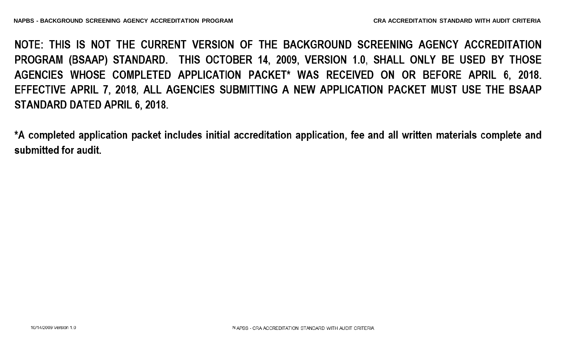NOTE: THIS IS NOT THE CURRENT VERSION OF THE BACKGROUND SCREENING AGENCY ACCREDITATION PROGRAM (BSAAP) STANDARD. THIS OCTOBER 14, 2009, VERSION 1.0, SHALL ONLY BE USED BY THOSE AGENCIES WHOSE COMPLETED APPLICATION PACKET\* WAS RECEIVED ON OR BEFORE APRIL 6, 2018. EFFECTIVE APRIL 7, 2018, ALL AGENCIES SUBMITTING A NEW APPLICATION PACKET MUST USE THE BSAAP STANDARD DATED APRIL 6, 2018.

\*A completed application packet includes initial accreditation application, fee and all written materials complete and submitted for audit.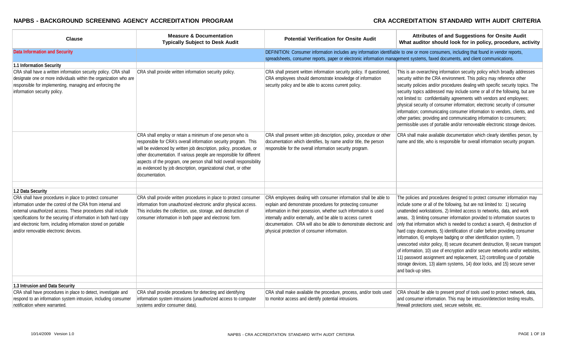| <b>Clause</b>                                                                                                                                                                                                                                                                                           | <b>Measure &amp; Documentation</b><br><b>Typically Subject to Desk Audit</b>                                                                                                                                                                                                                                                                                                                                                              | <b>Potential Verification for Onsite Audit</b>                                                                                                                                                                                                                                                                      | Attributes of and Suggestions for Onsite Audit<br>What auditor should look for in policy, procedure, activity                                                                                                                                                                                                                                                                                                                                                                                                                                                                                                                                                                                                                                                                                                            |
|---------------------------------------------------------------------------------------------------------------------------------------------------------------------------------------------------------------------------------------------------------------------------------------------------------|-------------------------------------------------------------------------------------------------------------------------------------------------------------------------------------------------------------------------------------------------------------------------------------------------------------------------------------------------------------------------------------------------------------------------------------------|---------------------------------------------------------------------------------------------------------------------------------------------------------------------------------------------------------------------------------------------------------------------------------------------------------------------|--------------------------------------------------------------------------------------------------------------------------------------------------------------------------------------------------------------------------------------------------------------------------------------------------------------------------------------------------------------------------------------------------------------------------------------------------------------------------------------------------------------------------------------------------------------------------------------------------------------------------------------------------------------------------------------------------------------------------------------------------------------------------------------------------------------------------|
| <b>Data Information and Security</b>                                                                                                                                                                                                                                                                    |                                                                                                                                                                                                                                                                                                                                                                                                                                           | DEFINITION: Consumer information includes any information identifiable to one or more consumers, including that found in vendor reports,<br>spreadsheets, consumer reports, paper or electronic information management systems, faxed documents, and client communications.                                         |                                                                                                                                                                                                                                                                                                                                                                                                                                                                                                                                                                                                                                                                                                                                                                                                                          |
| 1.1 Information Security                                                                                                                                                                                                                                                                                |                                                                                                                                                                                                                                                                                                                                                                                                                                           |                                                                                                                                                                                                                                                                                                                     |                                                                                                                                                                                                                                                                                                                                                                                                                                                                                                                                                                                                                                                                                                                                                                                                                          |
| CRA shall have a written information security policy. CRA shall<br>designate one or more individuals within the organization who are<br>responsible for implementing, managing and enforcing the<br>information security policy.                                                                        | CRA shall provide written information security policy.                                                                                                                                                                                                                                                                                                                                                                                    | CRA shall present written information security policy. If questioned,<br>CRA employees should demonstrate knowledge of information<br>security policy and be able to access current policy.                                                                                                                         | This is an overarching information security policy which broadly addresses<br>security within the CRA environment. This policy may reference other<br>security policies and/or procedures dealing with specific security topics. The<br>security topics addressed may include some or all of the following, but are<br>not limited to: confidentiality agreements with vendors and employees;<br>physical security of consumer information; electronic security of consumer<br>information; communicating consumer information to vendors, clients, and<br>other parties; providing and communicating information to consumers;<br>permissible uses of portable and/or removeable electronic storage devices.                                                                                                            |
|                                                                                                                                                                                                                                                                                                         | CRA shall employ or retain a minimum of one person who is<br>responsible for CRA's overall information security program. This<br>will be evidenced by written job description, policy, procedure, or<br>other documentation. If various people are responsible for different<br>aspects of the program, one person shall hold overall responsibility<br>as evidenced by job description, organizational chart, or other<br>documentation. | CRA shall present written job description, policy, procedure or other<br>documentation which identifies, by name and/or title, the person<br>responsible for the overall information security program.                                                                                                              | CRA shall make available documentation which clearly identifies person, by<br>name and title, who is responsible for overall information security program.                                                                                                                                                                                                                                                                                                                                                                                                                                                                                                                                                                                                                                                               |
| 1.2 Data Security                                                                                                                                                                                                                                                                                       |                                                                                                                                                                                                                                                                                                                                                                                                                                           |                                                                                                                                                                                                                                                                                                                     |                                                                                                                                                                                                                                                                                                                                                                                                                                                                                                                                                                                                                                                                                                                                                                                                                          |
| CRA shall have procedures in place to protect consumer                                                                                                                                                                                                                                                  | CRA shall provide written procedures in place to protect consumer                                                                                                                                                                                                                                                                                                                                                                         | CRA employees dealing with consumer information shall be able to                                                                                                                                                                                                                                                    | The policies and procedures designed to protect consumer information may                                                                                                                                                                                                                                                                                                                                                                                                                                                                                                                                                                                                                                                                                                                                                 |
| information under the control of the CRA from internal and<br>external unauthorized access. These procedures shall include<br>specifications for the securing of information in both hard copy<br>and electronic form, including information stored on portable<br>and/or removable electronic devices. | information from unauthorized electronic and/or physical access.<br>This includes the collection, use, storage, and destruction of<br>consumer information in both paper and electronic form.                                                                                                                                                                                                                                             | explain and demonstrate procedures for protecting consumer<br>information in their posession, whether such information is used<br>internally and/or externally, and be able to access current<br>documentation. CRA will also be able to demonstrate electronic and<br>physical protection of consumer information. | include some or all of the following, but are not limited to: 1) securing<br>unattended workstations, 2) limited access to networks, data, and work<br>areas, 3) limiting consumer information provided to information sources to<br>only that information which is needed to conduct a search, 4) destruction of<br>hard copy documents, 5) identification of caller before providing consumer<br>information, 6) employee badging or other identification system, 7)<br>unescorted visitor policy, 8) secure document destruction, 9) secure transport<br>of information, 10) use of encryption and/or secure networks and/or websites,<br>11) password assignment and replacement, 12) controlling use of portable<br>storage devices, 13) alarm systems, 14) door locks, and 15) secure server<br>and back-up sites. |
| 1.3 Intrusion and Data Security                                                                                                                                                                                                                                                                         |                                                                                                                                                                                                                                                                                                                                                                                                                                           |                                                                                                                                                                                                                                                                                                                     |                                                                                                                                                                                                                                                                                                                                                                                                                                                                                                                                                                                                                                                                                                                                                                                                                          |
| CRA shall have procedures in place to detect, investigate and                                                                                                                                                                                                                                           | CRA shall provide procedures for detecting and identifying                                                                                                                                                                                                                                                                                                                                                                                | CRA shall make available the procedure, process, and/or tools used                                                                                                                                                                                                                                                  | CRA should be able to present proof of tools used to protect network, data,                                                                                                                                                                                                                                                                                                                                                                                                                                                                                                                                                                                                                                                                                                                                              |
| respond to an information system intrusion, including consumer<br>notification where warranted.                                                                                                                                                                                                         | information system intrusions (unauthorized access to computer<br>systems and/or consumer data).                                                                                                                                                                                                                                                                                                                                          | to monitor access and identify potential intrusions.                                                                                                                                                                                                                                                                | and consumer information. This may be intrusion/detection testing results,<br>firewall protections used, secure website, etc.                                                                                                                                                                                                                                                                                                                                                                                                                                                                                                                                                                                                                                                                                            |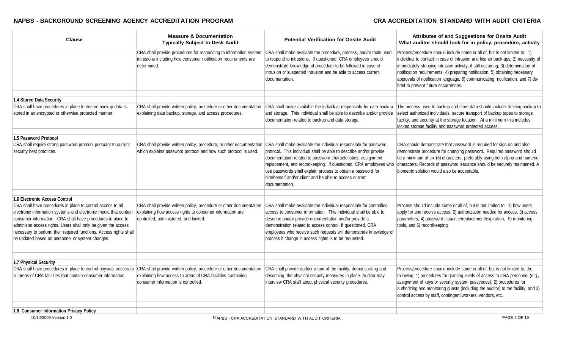| <b>Clause</b>                                                                                                                                                                                                                                                                                                                                                                              | <b>Measure &amp; Documentation</b><br><b>Typically Subject to Desk Audit</b>                                                                                             | <b>Potential Verification for Onsite Audit</b>                                                                                                                                                                                                                                                                                                                                                  | Attributes of and Suggestions for Onsite Audit<br>What auditor should look for in policy, procedure, activity                                                                                                                                                                                                                                                                                                                                               |
|--------------------------------------------------------------------------------------------------------------------------------------------------------------------------------------------------------------------------------------------------------------------------------------------------------------------------------------------------------------------------------------------|--------------------------------------------------------------------------------------------------------------------------------------------------------------------------|-------------------------------------------------------------------------------------------------------------------------------------------------------------------------------------------------------------------------------------------------------------------------------------------------------------------------------------------------------------------------------------------------|-------------------------------------------------------------------------------------------------------------------------------------------------------------------------------------------------------------------------------------------------------------------------------------------------------------------------------------------------------------------------------------------------------------------------------------------------------------|
|                                                                                                                                                                                                                                                                                                                                                                                            | CRA shall provide procedures for responding to information system<br>intrusions including how consumer notification requirements are<br>determined.                      | CRA shall make available the procedure, process, and/or tools used<br>to respond to intrusions. If questioned, CRA employees should<br>demonstrate knowledge of procedure to be followed in case of<br>intrusion or suspected intrusion and be able to access current<br>documentation.                                                                                                         | Process/procedure should include some or all of, but is not limited to: 1)<br>individual to contact in case of intrusion and his/her back-ups, 2) necessity of<br>immediately stopping intrusion activity, if still occurring, 3) determination of<br>notification requirements, 4) preparing notification, 5) obtaining necessary<br>approvals of notification language, 6) communicating notification, and 7) de-<br>brief to prevent future occurrences. |
|                                                                                                                                                                                                                                                                                                                                                                                            |                                                                                                                                                                          |                                                                                                                                                                                                                                                                                                                                                                                                 |                                                                                                                                                                                                                                                                                                                                                                                                                                                             |
| <b>1.4 Stored Data Security</b><br>CRA shall have procedures in place to ensure backup data is                                                                                                                                                                                                                                                                                             |                                                                                                                                                                          |                                                                                                                                                                                                                                                                                                                                                                                                 |                                                                                                                                                                                                                                                                                                                                                                                                                                                             |
| stored in an encrypted or otherwise protected manner.                                                                                                                                                                                                                                                                                                                                      | CRA shall provide written policy, procedure or other documentation<br>explaining data backup, storage, and access procedures.                                            | CRA shall make available the individual responsible for data backup<br>and storage. This individual shall be able to describe and/or provide<br>documentation related to backup and data storage.                                                                                                                                                                                               | The process used to backup and store data should include: limiting backup to<br>select authorized individuals, secure transport of backup tapes to storage<br>facility, and security at the storage location. At a minimum this includes<br>locked storage facility and password protected access.                                                                                                                                                          |
| 1.5 Password Protocol                                                                                                                                                                                                                                                                                                                                                                      |                                                                                                                                                                          |                                                                                                                                                                                                                                                                                                                                                                                                 |                                                                                                                                                                                                                                                                                                                                                                                                                                                             |
| CRA shall require strong password protocol pursuant to current                                                                                                                                                                                                                                                                                                                             | CRA shall provide written policy, procedure, or other documentation                                                                                                      | CRA shall make available the individual responsible for password                                                                                                                                                                                                                                                                                                                                | CRA should demonstrate that password is required for sign-on and also                                                                                                                                                                                                                                                                                                                                                                                       |
| security best practices.                                                                                                                                                                                                                                                                                                                                                                   | which explains password protocol and how such protocol is used.                                                                                                          | protocol. This individual shall be able to describe and/or provide<br>documentation related to password characteristics, assignment,<br>replacement, and recordkeeping. If questioned, CRA employees who<br>use passwords shall explain process to obtain a password for<br>him/herself and/or client and be able to access current<br>documentation.                                           | demonstrate procedure for changing password. Required password should<br>be a minimum of six (6) characters, preferably using both alpha and numeric<br>characters. Records of password issuance should be securely maintained. A<br>biometric solution would also be acceptable.                                                                                                                                                                           |
|                                                                                                                                                                                                                                                                                                                                                                                            |                                                                                                                                                                          |                                                                                                                                                                                                                                                                                                                                                                                                 |                                                                                                                                                                                                                                                                                                                                                                                                                                                             |
| 1.6 Electronic Access Control                                                                                                                                                                                                                                                                                                                                                              |                                                                                                                                                                          |                                                                                                                                                                                                                                                                                                                                                                                                 |                                                                                                                                                                                                                                                                                                                                                                                                                                                             |
| CRA shall have procedures in place to control access to all<br>electronic information systems and electronic media that contain<br>consumer information. CRA shall have procedures in place to<br>administer access rights. Users shall only be given the access<br>necessary to perform their required functions. Access rights shall<br>be updated based on personnel or system changes. | CRA shall provide written policy, procedure or other documentation<br>explaining how access rights to consumer information are<br>controlled, administered, and limited. | CRA shall make available the individual responsible for controlling<br>access to consumer information. This individual shall be able to<br>describe and/or provide documentation and/or provide a<br>demonstration related to access control. If questioned, CRA<br>employees who receive such requests will demonstrate knowledge of<br>process if change in access rights is to be requested. | Process should include some or all of, but is not limited to: 1) how users<br>apply for and receive access, 2) authorization needed for access, 3) access<br>parameters, 4) password issuance/replacement/expiration, 5) monitoring<br>tools, and 6) recordkeeping.                                                                                                                                                                                         |
|                                                                                                                                                                                                                                                                                                                                                                                            |                                                                                                                                                                          |                                                                                                                                                                                                                                                                                                                                                                                                 |                                                                                                                                                                                                                                                                                                                                                                                                                                                             |
| 1.7 Physical Security<br>CRA shall have procedures in place to control physical access to                                                                                                                                                                                                                                                                                                  | CRA shall provide written policy, procedure or other documentation                                                                                                       | CRA shall provide auditor a tour of the facility, demonstrating and                                                                                                                                                                                                                                                                                                                             | Process/procedure should include some or all of, but is not limited to, the                                                                                                                                                                                                                                                                                                                                                                                 |
| all areas of CRA facilities that contain consumer information.                                                                                                                                                                                                                                                                                                                             | explaining how access to areas of CRA facilities containing<br>consumer information is controlled.                                                                       | describing the physical security measures in place. Auditor may<br>interview CRA staff about physical security procedures.                                                                                                                                                                                                                                                                      | following: 1) procedures for granting levels of access to CRA personnel (e.g.,<br>assignment of keys or security system passcodes), 2) procedures for<br>authorizing and monitoring guests (including the auditor) to the facility, and 3)<br>control access by staff, contingent workers, vendors, etc.                                                                                                                                                    |
| 1.9 Concumer Information Driveou Doliou                                                                                                                                                                                                                                                                                                                                                    |                                                                                                                                                                          |                                                                                                                                                                                                                                                                                                                                                                                                 |                                                                                                                                                                                                                                                                                                                                                                                                                                                             |
|                                                                                                                                                                                                                                                                                                                                                                                            |                                                                                                                                                                          |                                                                                                                                                                                                                                                                                                                                                                                                 |                                                                                                                                                                                                                                                                                                                                                                                                                                                             |

**1.8 Consumer Information Privacy Policy**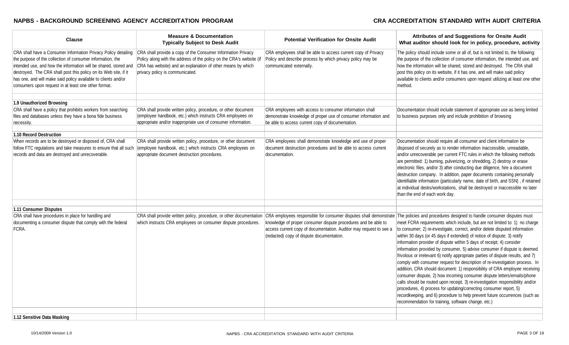| <b>Clause</b>                                                                                                                                                                                                                                                                                                                                                                                  | <b>Measure &amp; Documentation</b><br><b>Typically Subject to Desk Audit</b>                                                                                                                                                           | <b>Potential Verification for Onsite Audit</b>                                                                                                                                    | Attributes of and Suggestions for Onsite Audit<br>What auditor should look for in policy, procedure, activity                                                                                                                                                                                                                                                                                                                                                                                                                                                                                                                                                                                                                                                                                                                                                                                                                                                                                                                                                                                                                                                    |
|------------------------------------------------------------------------------------------------------------------------------------------------------------------------------------------------------------------------------------------------------------------------------------------------------------------------------------------------------------------------------------------------|----------------------------------------------------------------------------------------------------------------------------------------------------------------------------------------------------------------------------------------|-----------------------------------------------------------------------------------------------------------------------------------------------------------------------------------|------------------------------------------------------------------------------------------------------------------------------------------------------------------------------------------------------------------------------------------------------------------------------------------------------------------------------------------------------------------------------------------------------------------------------------------------------------------------------------------------------------------------------------------------------------------------------------------------------------------------------------------------------------------------------------------------------------------------------------------------------------------------------------------------------------------------------------------------------------------------------------------------------------------------------------------------------------------------------------------------------------------------------------------------------------------------------------------------------------------------------------------------------------------|
| CRA shall have a Consumer Information Privacy Policy detailing<br>the purpose of the collection of consumer information, the<br>intended use, and how the information will be shared, stored and<br>destroyed. The CRA shall post this policy on its Web site, if it<br>has one, and will make said policy available to clients and/or<br>consumers upon request in at least one other format. | CRA shall provide a copy of the Consumer Information Privacy<br>Policy along with the address of the policy on the CRA's website (if<br>CRA has website) and an explanation of other means by which<br>privacy policy is communicated. | CRA employees shall be able to access current copy of Privacy<br>Policy and describe process by which privacy policy may be<br>communicated externally.                           | The policy should include some or all of, but is not limited to, the following:<br>the purpose of the collection of consumer information, the intended use, and<br>how the information will be shared, stored and destroyed. The CRA shall<br>post this policy on its website, if it has one, and will make said policy<br>available to clients and/or consumers upon request utilizing at least one other<br>method.                                                                                                                                                                                                                                                                                                                                                                                                                                                                                                                                                                                                                                                                                                                                            |
| 1.9 Unauthorized Browsing                                                                                                                                                                                                                                                                                                                                                                      |                                                                                                                                                                                                                                        |                                                                                                                                                                                   |                                                                                                                                                                                                                                                                                                                                                                                                                                                                                                                                                                                                                                                                                                                                                                                                                                                                                                                                                                                                                                                                                                                                                                  |
| CRA shall have a policy that prohibits workers from searching<br>files and databases unless they have a bona fide business<br>necessity.                                                                                                                                                                                                                                                       | CRA shall provide written policy, procedure, or other document<br>(employee handbook, etc.) which instructs CRA employees on<br>appropriate and/or inappropriate use of consumer information.                                          | CRA employees with access to consumer information shall<br>demonstrate knowledge of proper use of consumer information and<br>be able to access current copy of documentation.    | Documentation should include statement of appropriate use as being limited<br>to business purposes only and include prohibition of browsing                                                                                                                                                                                                                                                                                                                                                                                                                                                                                                                                                                                                                                                                                                                                                                                                                                                                                                                                                                                                                      |
| 1.10 Record Destruction                                                                                                                                                                                                                                                                                                                                                                        |                                                                                                                                                                                                                                        |                                                                                                                                                                                   |                                                                                                                                                                                                                                                                                                                                                                                                                                                                                                                                                                                                                                                                                                                                                                                                                                                                                                                                                                                                                                                                                                                                                                  |
| When records are to be destroyed or disposed of, CRA shall<br>follow FTC regulations and take measures to ensure that all such<br>records and data are destroyed and unrecoverable.                                                                                                                                                                                                            | CRA shall provide written policy, procedure, or other document<br>(employee handbook, etc.) which instructs CRA employees on<br>appropriate document destruction procedures.                                                           | CRA employees shall demonstrate knowledge and use of proper<br>document destruction procedures and be able to access current<br>documentation.                                    | Documentation should require all consumer and client information be<br>disposed of securely as to render information inaccessible, unreadable,<br>and/or unrecoverable per current FTC rules in which the following methods<br>are permitted: 1) burning, pulverizing, or shredding, 2) destroy or erase<br>electronic files, and/or 3) after conducting due diligence, hire a document<br>destruction company. In addition, paper documents containing personally<br>identifiable information (particularly name, date of birth, and SSN), if retained<br>at individual desks/workstations, shall be destroyed or inaccessible no later<br>than the end of each work day.                                                                                                                                                                                                                                                                                                                                                                                                                                                                                       |
| 1.11 Consumer Disputes                                                                                                                                                                                                                                                                                                                                                                         |                                                                                                                                                                                                                                        |                                                                                                                                                                                   |                                                                                                                                                                                                                                                                                                                                                                                                                                                                                                                                                                                                                                                                                                                                                                                                                                                                                                                                                                                                                                                                                                                                                                  |
| CRA shall have procedures in place for handling and<br>documenting a consumer dispute that comply with the federal<br>FCRA.                                                                                                                                                                                                                                                                    | CRA shall provide written policy, procedure, or other documentation<br>which instructs CRA employees on consumer dispute procedures.                                                                                                   | knowledge of proper consumer dispute procedures and be able to<br>access current copy of documentation. Auditor may request to see a<br>(redacted) copy of dispute documentation. | CRA employees responsible for consumer disputes shall demonstrate The policies and procedures designed to handle consumer disputes must<br>meet FCRA requirements which include, but are not limited to: 1) no charge<br>to consumer; 2) re-investigate, correct, and/or delete disputed information<br>within 30 days (or 45 days if extended) of notice of dispute; 3) notify<br>information provider of dispute within 5 days of receipt; 4) consider<br>information provided by consumer, 5) advise consumer if dispute is deemed<br>frivolous or irrelevant 6) notify appropriate parties of dispute results, and 7)<br>comply with consumer request for description of re-investigation process. In<br>addition, CRA should document: 1) responsibility of CRA employee receiving<br>consumer dispute, 2) how incoming consumer dispute letters/emails/phone<br>calls should be routed upon receipt, 3) re-investigation responsibility and/or<br>procedures, 4) process for updating/correcting consumer report, 5)<br>recordkeeping, and 6) procedure to help prevent future occurrences (such as<br>recommendation for training, software change, etc.) |
| 1.12 Sensitive Data Masking                                                                                                                                                                                                                                                                                                                                                                    |                                                                                                                                                                                                                                        |                                                                                                                                                                                   |                                                                                                                                                                                                                                                                                                                                                                                                                                                                                                                                                                                                                                                                                                                                                                                                                                                                                                                                                                                                                                                                                                                                                                  |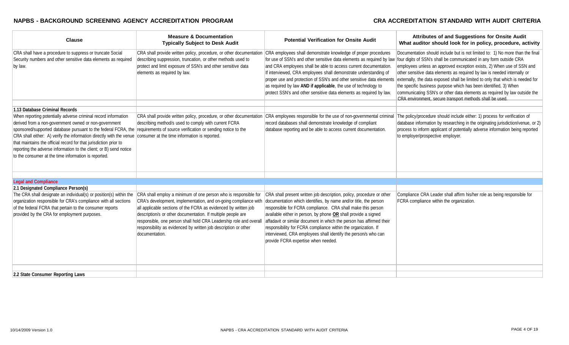| <b>Clause</b>                                                                                                                                                                                                                                                                                                                                                                                                                                                                                                                                                                  | <b>Measure &amp; Documentation</b><br><b>Typically Subject to Desk Audit</b>                                                                                                                                                                                                                                                                                                                                                    | <b>Potential Verification for Onsite Audit</b>                                                                                                                                                                                                                                                                                                                                                                                                                                                                                | Attributes of and Suggestions for Onsite Audit<br>What auditor should look for in policy, procedure, activity                                                                                                                                                                                                                                                                                                                                                                                                                                                                                           |
|--------------------------------------------------------------------------------------------------------------------------------------------------------------------------------------------------------------------------------------------------------------------------------------------------------------------------------------------------------------------------------------------------------------------------------------------------------------------------------------------------------------------------------------------------------------------------------|---------------------------------------------------------------------------------------------------------------------------------------------------------------------------------------------------------------------------------------------------------------------------------------------------------------------------------------------------------------------------------------------------------------------------------|-------------------------------------------------------------------------------------------------------------------------------------------------------------------------------------------------------------------------------------------------------------------------------------------------------------------------------------------------------------------------------------------------------------------------------------------------------------------------------------------------------------------------------|---------------------------------------------------------------------------------------------------------------------------------------------------------------------------------------------------------------------------------------------------------------------------------------------------------------------------------------------------------------------------------------------------------------------------------------------------------------------------------------------------------------------------------------------------------------------------------------------------------|
| CRA shall have a procedure to suppress or truncate Social<br>Security numbers and other sensitive data elements as required<br>by law.                                                                                                                                                                                                                                                                                                                                                                                                                                         | CRA shall provide written policy, procedure, or other documentation<br>describing suppression, truncation, or other methods used to<br>protect and limit exposure of SSN's and other sensitive data<br>elements as required by law.                                                                                                                                                                                             | CRA employees shall demonstrate knowledge of proper procedures<br>for use of SSN's and other sensitive data elements as required by law<br>and CRA employees shall be able to access current documentation.<br>If interviewed, CRA employees shall demonstrate understanding of<br>proper use and protection of SSN's and other sensitive data elements<br>as required by law AND if applicable, the use of technology to<br>protect SSN's and other sensitive data elements as required by law.                              | Documentation should include but is not limited to: 1) No more than the final<br>four digits of SSN's shall be communicated in any form outside CRA<br>employees unless an approved exception exists, 2) When use of SSN and<br>other sensitive data elements as required by law is needed internally or<br>externally, the data exposed shall be limited to only that which is needed for<br>the specific business purpose which has been identified, 3) When<br>communicating SSN's or other data elements as required by law outside the<br>CRA environment, secure transport methods shall be used. |
| 1.13 Database Criminal Records                                                                                                                                                                                                                                                                                                                                                                                                                                                                                                                                                 |                                                                                                                                                                                                                                                                                                                                                                                                                                 |                                                                                                                                                                                                                                                                                                                                                                                                                                                                                                                               |                                                                                                                                                                                                                                                                                                                                                                                                                                                                                                                                                                                                         |
| When reporting potentially adverse criminal record information<br>derived from a non-government owned or non-government<br>sponsored/supported database pursuant to the federal FCRA, the requirements of source verification or sending notice to the<br>CRA shall either: A) verify the information directly with the venue consumer at the time information is reported.<br>that maintains the official record for that jurisdiction prior to<br>reporting the adverse information to the client; or B) send notice<br>to the consumer at the time information is reported. | CRA shall provide written policy, procedure, or other documentation<br>describing method/s used to comply with current FCRA                                                                                                                                                                                                                                                                                                     | record databases shall demonstrate knowledge of compliant<br>database reporting and be able to access current documentation.                                                                                                                                                                                                                                                                                                                                                                                                  | CRA employees responsible for the use of non-governmental criminal The policy/procedure should include either: 1) process for verification of<br>database information by researching in the originating jurisdiction/venue, or 2)<br>process to inform applicant of potentially adverse information being reported<br>to employer/prospective employer.                                                                                                                                                                                                                                                 |
| <b>Legal and Compliance</b>                                                                                                                                                                                                                                                                                                                                                                                                                                                                                                                                                    |                                                                                                                                                                                                                                                                                                                                                                                                                                 |                                                                                                                                                                                                                                                                                                                                                                                                                                                                                                                               |                                                                                                                                                                                                                                                                                                                                                                                                                                                                                                                                                                                                         |
| 2.1 Designated Compliance Person(s)                                                                                                                                                                                                                                                                                                                                                                                                                                                                                                                                            |                                                                                                                                                                                                                                                                                                                                                                                                                                 |                                                                                                                                                                                                                                                                                                                                                                                                                                                                                                                               |                                                                                                                                                                                                                                                                                                                                                                                                                                                                                                                                                                                                         |
| The CRA shall designate an individual(s) or position(s) within the<br>organization responsible for CRA's compliance with all sections<br>of the federal FCRA that pertain to the consumer reports<br>provided by the CRA for employment purposes.                                                                                                                                                                                                                                                                                                                              | CRA shall employ a minimum of one person who is responsible for<br>CRA's development, implementation, and on-going compliance with<br>all applicable sections of the FCRA as evidenced by written job<br>description/s or other documentation. If multiple people are<br>responsible, one person shall hold CRA Leadership role and overal<br>responsibility as evidenced by written job description or other<br>documentation. | CRA shall present written job description, policy, procedure or other<br>documentation which identifies, by name and/or title, the person<br>responsible for FCRA compliance. CRA shall make this person<br>available either in person, by phone OR shall provide a signed<br>affadavit or similar document in which the person has affirmed their<br>responsibility for FCRA compliance within the organization. If<br>interviewed, CRA employees shall identify the person/s who can<br>provide FCRA expertise when needed. | Compliance CRA Leader shall affirm his/her role as being responsible for<br>FCRA compliance within the organization.                                                                                                                                                                                                                                                                                                                                                                                                                                                                                    |
| 2.2 State Consumer Reporting Laws                                                                                                                                                                                                                                                                                                                                                                                                                                                                                                                                              |                                                                                                                                                                                                                                                                                                                                                                                                                                 |                                                                                                                                                                                                                                                                                                                                                                                                                                                                                                                               |                                                                                                                                                                                                                                                                                                                                                                                                                                                                                                                                                                                                         |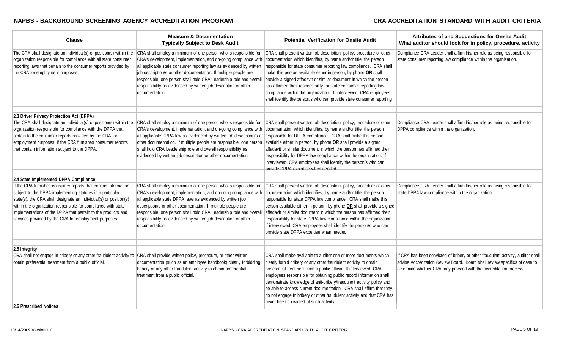| <b>Clause</b>                                                                                                                                                                                                                                                                                                                                                                              | <b>Measure &amp; Documentation</b><br><b>Typically Subject to Desk Audit</b>                                                                                                                                                                                                                                                                                                                                                                                                                                                                   | <b>Potential Verification for Onsite Audit</b>                                                                                                                                                                                                                                                                                                                                                                                                                                                                                                                             | Attributes of and Suggestions for Onsite Audit<br>What auditor should look for in policy, procedure, activity                                                                                                                       |
|--------------------------------------------------------------------------------------------------------------------------------------------------------------------------------------------------------------------------------------------------------------------------------------------------------------------------------------------------------------------------------------------|------------------------------------------------------------------------------------------------------------------------------------------------------------------------------------------------------------------------------------------------------------------------------------------------------------------------------------------------------------------------------------------------------------------------------------------------------------------------------------------------------------------------------------------------|----------------------------------------------------------------------------------------------------------------------------------------------------------------------------------------------------------------------------------------------------------------------------------------------------------------------------------------------------------------------------------------------------------------------------------------------------------------------------------------------------------------------------------------------------------------------------|-------------------------------------------------------------------------------------------------------------------------------------------------------------------------------------------------------------------------------------|
| The CRA shall designate an individual(s) or position(s) within the<br>organization responsible for compliance with all state consumer<br>reporting laws that pertain to the consumer reports provided by<br>the CRA for employment purposes.                                                                                                                                               | CRA shall employ a minimum of one person who is responsible for<br>CRA's development, implementation, and on-going compliance with<br>all applicable state consumer reporting law as evidenced by written<br>job description/s or other documentation. If multiple people are<br>responsible, one person shall hold CRA Leadership role and overall<br>responsibility as evidenced by written job description or other<br>documentation.                                                                                                       | CRA shall present written job description, policy, procedure or other<br>documentation which identifies, by name and/or title, the person<br>responsible for state consumer reporting law compliance. CRA shall<br>make this person available either in person, by phone OR shall<br>provide a signed affadavit or similar document in which the person<br>has affirmed their responsibility for state consumer reporting law<br>compliance within the organization. If interviewed, CRA employees<br>shall identify the person/s who can provide state consumer reporting | Compliance CRA Leader shall affirm his/her role as being responsible for<br>state consumer reporting law compliance within the organization.                                                                                        |
| 2.3 Driver Privacy Protection Act (DPPA)                                                                                                                                                                                                                                                                                                                                                   |                                                                                                                                                                                                                                                                                                                                                                                                                                                                                                                                                |                                                                                                                                                                                                                                                                                                                                                                                                                                                                                                                                                                            |                                                                                                                                                                                                                                     |
| The CRA shall designate an individual(s) or position(s) within the<br>organization responsible for compliance with the DPPA that<br>pertain to the consumer reports provided by the CRA for<br>employment purposes, if the CRA furnishes consumer reports<br>that contain information subject to the DPPA.                                                                                 | CRA shall employ a minimum of one person who is responsible for<br>CRA's development, implementation, and on-going compliance with documentation which identifies, by name and/or title, the person<br>all applicable DPPA law as evidenced by written job description/s or responsible for DPPA compliance. CRA shall make this person<br>other documentation. If multiple people are responsible, one person<br>shall hold CRA Leadership role and overall responsibility as<br>evidenced by written job description or other documentation. | CRA shall present written job description, policy, procedure or other<br>available either in person, by phone $OR$ shall provide a signed<br>affadavit or similar document in which the person has affirmed their<br>responsibility for DPPA law compliance within the organization. If<br>interviewed, CRA employees shall identify the person/s who can<br>provide DPPA expertise when needed.                                                                                                                                                                           | Compliance CRA Leader shall affirm his/her role as being responsible for<br>DPPA compliance within the organization.                                                                                                                |
| 2.4 State Implemented DPPA Compliance                                                                                                                                                                                                                                                                                                                                                      |                                                                                                                                                                                                                                                                                                                                                                                                                                                                                                                                                |                                                                                                                                                                                                                                                                                                                                                                                                                                                                                                                                                                            |                                                                                                                                                                                                                                     |
| If the CRA furnishes consumer reports that contain information<br>subject to the DPPA-implementing statutes in a particular<br>state(s), the CRA shall designate an individual(s) or position(s)<br>within the organization responsible for compliance with state<br>implementations of the DPPA that pertain to the products and<br>services provided by the CRA for employment purposes. | CRA shall employ a minimum of one person who is responsible for<br>CRA's development, implementation, and on-going compliance with<br>all applicable state DPPA laws as evidenced by written job<br>description/s or other documentation. If multiple people are<br>responsible, one person shall hold CRA Leadership role and overall<br>responsibility as evidenced by written job description or other<br>documentation.                                                                                                                    | CRA shall present written job description, policy, procedure or other<br>documentation which identifies, by name and/or title, the person<br>responsible for state DPPA law compliance. CRA shall make this<br>person available either in person, by phone OR shall provide a signed<br>affadavit or similar document in which the person has affirmed their<br>responsibility for state DPPA law compliance within the organization.<br>If interviewed, CRA employees shall identify the person/s who can<br>provide state DPPA expertise when needed.                    | Compliance CRA Leader shall affirm his/her role as being responsible for<br>state DPPA law compliance within the organization.                                                                                                      |
| 2.5 Integrity                                                                                                                                                                                                                                                                                                                                                                              |                                                                                                                                                                                                                                                                                                                                                                                                                                                                                                                                                |                                                                                                                                                                                                                                                                                                                                                                                                                                                                                                                                                                            |                                                                                                                                                                                                                                     |
| CRA shall not engage in bribery or any other fraudulent activity to CRA shall provide written policy, procedure, or other written<br>obtain preferential treatment from a public official.                                                                                                                                                                                                 | documentation (such as an employee handbook) clearly forbidding<br>bribery or any other fraudulent activity to obtain preferential<br>treatment from a public official.                                                                                                                                                                                                                                                                                                                                                                        | CRA shall make available to auditor one or more documents which<br>clearly forbid bribery or any other fraudulent activity to obtain<br>preferential treatment from a public official. If interviewed, CRA<br>employees responsible for obtaining public record information shall<br>demonstrate knowledge of anti-bribery/fraudulent activity policy and<br>be able to access current documentation. CRA shall affirm that they<br>do not engage in bribery or other fraudulent activity and that CRA has<br>never been convicted of such activity.                       | If CRA has been convicted of bribery or other fraudulent activity, auditor shall<br>advise Accreditation Review Board. Board shall review specifics of case to<br>determine whether CRA may proceed with the accreditation process. |
| 2.6 Prescribed Notices                                                                                                                                                                                                                                                                                                                                                                     |                                                                                                                                                                                                                                                                                                                                                                                                                                                                                                                                                |                                                                                                                                                                                                                                                                                                                                                                                                                                                                                                                                                                            |                                                                                                                                                                                                                                     |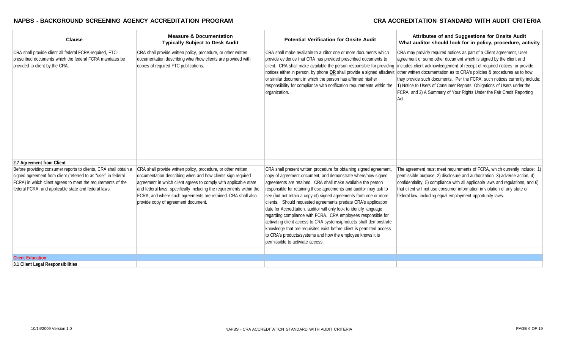| <b>Clause</b>                                                                                                                                                                                                                                              | <b>Measure &amp; Documentation</b><br><b>Typically Subject to Desk Audit</b>                                                                                                                                                                                                                                                                                                    | <b>Potential Verification for Onsite Audit</b>                                                                                                                                                                                                                                                                                                                                                                                                                                                                                                                                                                                                                                                                                                                                                           | Attributes of and Suggestions for Onsite Audit<br>What auditor should look for in policy, procedure, activity                                                                                                                                                                                                                                                                                                                                                                                                                                                                                                     |
|------------------------------------------------------------------------------------------------------------------------------------------------------------------------------------------------------------------------------------------------------------|---------------------------------------------------------------------------------------------------------------------------------------------------------------------------------------------------------------------------------------------------------------------------------------------------------------------------------------------------------------------------------|----------------------------------------------------------------------------------------------------------------------------------------------------------------------------------------------------------------------------------------------------------------------------------------------------------------------------------------------------------------------------------------------------------------------------------------------------------------------------------------------------------------------------------------------------------------------------------------------------------------------------------------------------------------------------------------------------------------------------------------------------------------------------------------------------------|-------------------------------------------------------------------------------------------------------------------------------------------------------------------------------------------------------------------------------------------------------------------------------------------------------------------------------------------------------------------------------------------------------------------------------------------------------------------------------------------------------------------------------------------------------------------------------------------------------------------|
| CRA shall provide client all federal FCRA-required, FTC-<br>prescribed documents which the federal FCRA mandates be<br>provided to client by the CRA.                                                                                                      | CRA shall provide written policy, procedure, or other written<br>documentation describing when/how clients are provided with<br>copies of required FTC publications.                                                                                                                                                                                                            | CRA shall make available to auditor one or more documents which<br>provide evidence that CRA has provided prescribed documents to<br>notices either in person, by phone OR shall provide a signed affadavit<br>or similar document in which the person has affirmed his/her<br>responsibility for compliance with notification requirements within the<br>organization.                                                                                                                                                                                                                                                                                                                                                                                                                                  | CRA may provide required notices as part of a Client agreement, User<br>agreement or some other document which is signed by the client and<br>client. CRA shall make available the person responsible for providing includes client acknowledgement of receipt of required notices or provide<br>other written documentation as to CRA's policies & procedures as to how<br>they provide such documents. Per the FCRA, such notices currently include:<br>1) Notice to Users of Consumer Reports: Obligations of Users under the<br>FCRA, and 2) A Summary of Your Rights Under the Fair Credit Reporting<br>Act. |
| 2.7 Agreement from Client                                                                                                                                                                                                                                  |                                                                                                                                                                                                                                                                                                                                                                                 |                                                                                                                                                                                                                                                                                                                                                                                                                                                                                                                                                                                                                                                                                                                                                                                                          |                                                                                                                                                                                                                                                                                                                                                                                                                                                                                                                                                                                                                   |
| Before providing consumer reports to clients, CRA shall obtain a<br>signed agreement from client (referred to as "user" in federal<br>FCRA) in which client agrees to meet the requirements of the<br>federal FCRA, and applicable state and federal laws. | CRA shall provide written policy, procedure, or other written<br>documentation describing when and how clients sign required<br>agreement in which client agrees to comply with applicable state<br>and federal laws, specifically including the requirements within the<br>FCRA, and where such agreements are retained. CRA shall also<br>provide copy of agreement document. | CRA shall present written procedure for obtaining signed agreement,<br>copy of agreement document, and demonstrate where/how signed<br>agreements are retained. CRA shall make available the person<br>responsible for retaining these agreements and auditor may ask to<br>see (but not retain a copy of) signed agreements from one or more<br>clients. Should requested agreements predate CRA's application<br>date for Accreditation, auditor will only look to identify language<br>regarding compliance with FCRA. CRA employees responsible for<br>activating client access to CRA systems/products shall demonstrate<br>knowledge that pre-requisites exist before client is permitted access<br>to CRA's products/systems and how the employee knows it is<br>permissible to activiate access. | The agreement must meet requirements of FCRA, which currently include: 1)<br>permissible purpose, 2) disclosure and authorization, 3) adverse action, 4)<br>confidentiality, 5) compliance with all applicable laws and regulations, and 6)<br>that client will not use consumer information in violation of any state or<br>federal law, including equal employment opportunity laws.                                                                                                                                                                                                                            |
| <b>Client Education</b>                                                                                                                                                                                                                                    |                                                                                                                                                                                                                                                                                                                                                                                 |                                                                                                                                                                                                                                                                                                                                                                                                                                                                                                                                                                                                                                                                                                                                                                                                          |                                                                                                                                                                                                                                                                                                                                                                                                                                                                                                                                                                                                                   |
| 3.1 Client Legal Responsibilities                                                                                                                                                                                                                          |                                                                                                                                                                                                                                                                                                                                                                                 |                                                                                                                                                                                                                                                                                                                                                                                                                                                                                                                                                                                                                                                                                                                                                                                                          |                                                                                                                                                                                                                                                                                                                                                                                                                                                                                                                                                                                                                   |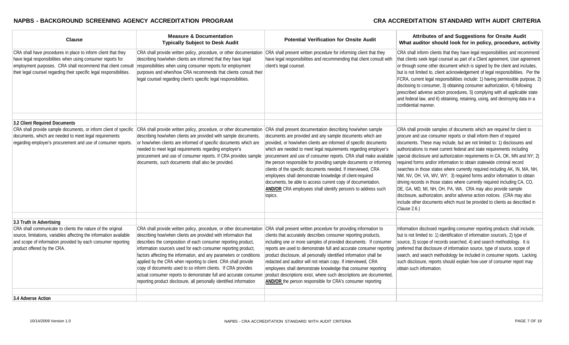| <b>Clause</b>                                                                                                                                                                                                                                                        | <b>Measure &amp; Documentation</b><br><b>Typically Subject to Desk Audit</b>                                                                                                                                                                                                                                                                                                                                                                                                                                                                                                                                                  | <b>Potential Verification for Onsite Audit</b>                                                                                                                                                                                                                                                                                                                                                                                                                                                                                                                                                                               | Attributes of and Suggestions for Onsite Audit<br>What auditor should look for in policy, procedure, activity                                                                                                                                                                                                                                                                                                                                                                                                                                                                                                                                                                                                                                                                                                                                                                                                                            |
|----------------------------------------------------------------------------------------------------------------------------------------------------------------------------------------------------------------------------------------------------------------------|-------------------------------------------------------------------------------------------------------------------------------------------------------------------------------------------------------------------------------------------------------------------------------------------------------------------------------------------------------------------------------------------------------------------------------------------------------------------------------------------------------------------------------------------------------------------------------------------------------------------------------|------------------------------------------------------------------------------------------------------------------------------------------------------------------------------------------------------------------------------------------------------------------------------------------------------------------------------------------------------------------------------------------------------------------------------------------------------------------------------------------------------------------------------------------------------------------------------------------------------------------------------|------------------------------------------------------------------------------------------------------------------------------------------------------------------------------------------------------------------------------------------------------------------------------------------------------------------------------------------------------------------------------------------------------------------------------------------------------------------------------------------------------------------------------------------------------------------------------------------------------------------------------------------------------------------------------------------------------------------------------------------------------------------------------------------------------------------------------------------------------------------------------------------------------------------------------------------|
| CRA shall have procedures in place to inform client that they<br>have legal responsibilities when using consumer reports for<br>employment purposes. CRA shall recommend that client consult<br>their legal counsel regarding their specific legal responsibilities. | CRA shall provide written policy, procedure, or other documentation<br>describing how/when clients are informed that they have legal<br>responsibilities when using consumer reports for employment<br>purposes and when/how CRA recommends that clients consult their<br>legal counsel regarding client's specific legal responsibilities.                                                                                                                                                                                                                                                                                   | CRA shall present written procedure for informing client that they<br>have legal responsibilities and recommending that client consult with<br>client's legal counsel.                                                                                                                                                                                                                                                                                                                                                                                                                                                       | CRA shall inform clients that they have legal responsibilities and recommend<br>that clients seek legal counsel as part of a Client agreement, User agreement<br>or through some other document which is signed by the client and includes,<br>but is not limited to, client acknowledgement of legal responsibilities. Per the<br>FCRA, current legal responsibilities include: 1) having permissible purpose, 2)<br>disclosing to consumer, 3) obtaining consumer authorization, 4) following<br>prescribed adverse action procedures, 5) complying with all applicable state<br>and federal law, and 6) obtaining, retaining, using, and destroying data in a<br>confidential manner.                                                                                                                                                                                                                                                 |
| 3.2 Client Required Documents                                                                                                                                                                                                                                        |                                                                                                                                                                                                                                                                                                                                                                                                                                                                                                                                                                                                                               |                                                                                                                                                                                                                                                                                                                                                                                                                                                                                                                                                                                                                              |                                                                                                                                                                                                                                                                                                                                                                                                                                                                                                                                                                                                                                                                                                                                                                                                                                                                                                                                          |
| documents, which are needed to meet legal requirements<br>regarding employer's procurement and use of consumer reports.                                                                                                                                              | CRA shall provide sample documents, or inform client of specific CRA shall provide written policy, procedure, or other documentation CRA shall present documentation describing how/when sample<br>describing how/when clients are provided with sample documents,<br>or how/when clients are informed of specific documents which are<br>needed to meet legal requirements regarding employer's<br>procurement and use of consumer reports. If CRA provides sample<br>documents, such documents shall also be provided.                                                                                                      | documents are provided and any sample documents which are<br>provided, or how/when clients are informed of specific documents<br>which are needed to meet legal requirements regarding employer's<br>procurement and use of consumer reports. CRA shall make available<br>the person responsible for providing sample documents or informing<br>clients of the specific documents needed. If interviewed, CRA<br>employees shall demonstrate knowledge of client-required<br>documents, be able to access current copy of documentation,<br>AND/OR CRA employees shall identify person/s to address such<br>topics.          | CRA shall provide samples of documents which are required for client to<br>procure and use consumer reports or shall inform them of required<br>documents. These may include, but are not limited to: 1) disclosures and<br>authorizations to meet current federal and state requirements including<br>special disclosure and authorization requirements in CA, OK, MN and NY; 2)<br>required forms and/or information to obtain statewide criminal record<br>searches in those states where currently required including AK, IN, MA, NH,<br>NM, NV, OH, VA, WV, WY; 3) required forms and/or information to obtain<br>driving records in those states where currently required including CA, CO,<br>DE, GA, MD, MI, NH, OH, PA, WA. CRA may also provide sample<br>disclosure, authorization, and/or adverse action notices. (CRA may also<br>include other documents which must be provided to clients as described in<br>Clause 2.6.) |
| 3.3 Truth in Advertising                                                                                                                                                                                                                                             |                                                                                                                                                                                                                                                                                                                                                                                                                                                                                                                                                                                                                               |                                                                                                                                                                                                                                                                                                                                                                                                                                                                                                                                                                                                                              |                                                                                                                                                                                                                                                                                                                                                                                                                                                                                                                                                                                                                                                                                                                                                                                                                                                                                                                                          |
| CRA shall communicate to clients the nature of the original<br>source, limitations, variables affecting the information available<br>and scope of information provided by each consumer reporting<br>product offered by the CRA.                                     | CRA shall provide written policy, procedure, or other documentation<br>describing how/when clients are provided with information that<br>describes the composition of each consumer reporting product,<br>information source/s used for each consumer reporting product,<br>factors affecting the information, and any parameters or conditions<br>applied by the CRA when reporting to client. CRA shall provide<br>copy of documents used to so inform clients. If CRA provides<br>actual consumer reports to demonstrate full and accurate consumer<br>reporting product disclosure, all personally identified information | CRA shall present written procedure for providing information to<br>clients that accurately describes consumer reporting products,<br>including one or more samples of provided documents. If consumer<br>reports are used to demonstrate full and accurate consumer reporting<br>product disclosure, all personally identified information shall be<br>redacted and auditor will not retain copy. If interviewed, CRA<br>employees shall demonstrate knowledge that consumer reporting<br>product descriptions exist, where such descriptions are documented,<br>AND/OR the person responsible for CRA's consumer reporting | Information disclosed regarding consumer reporting products shall include,<br>but is not limited to: 1) identification of information source/s, 2) type of<br>source, 3) scope of records searched, 4) and search methodology. It is<br>preferred that disclosure of information source, type of source, scope of<br>search, and search methodology be included in consumer reports. Lacking<br>such disclosure, reports should explain how user of consumer report may<br>obtain such information.                                                                                                                                                                                                                                                                                                                                                                                                                                      |
| 3.4 Adverse Action                                                                                                                                                                                                                                                   |                                                                                                                                                                                                                                                                                                                                                                                                                                                                                                                                                                                                                               |                                                                                                                                                                                                                                                                                                                                                                                                                                                                                                                                                                                                                              |                                                                                                                                                                                                                                                                                                                                                                                                                                                                                                                                                                                                                                                                                                                                                                                                                                                                                                                                          |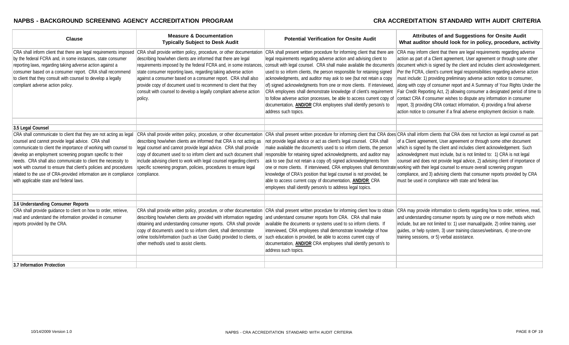| <b>Clause</b>                                                                                                                                                                                                                                                                                                                                                                                                                                                                                                           | <b>Measure &amp; Documentation</b><br><b>Typically Subject to Desk Audit</b>                                                                                                                                                                                                                                                                                                                                                                                                                   | <b>Potential Verification for Onsite Audit</b>                                                                                                                                                                                                                                                                                                                                                                                                                                                                                                                                                                       | Attributes of and Suggestions for Onsite Audit<br>What auditor should look for in policy, procedure, activity                                                                                                                                                                                                                                                                                                                                                                                                                                                                                                                                                                                                                                                                                                                                                                |
|-------------------------------------------------------------------------------------------------------------------------------------------------------------------------------------------------------------------------------------------------------------------------------------------------------------------------------------------------------------------------------------------------------------------------------------------------------------------------------------------------------------------------|------------------------------------------------------------------------------------------------------------------------------------------------------------------------------------------------------------------------------------------------------------------------------------------------------------------------------------------------------------------------------------------------------------------------------------------------------------------------------------------------|----------------------------------------------------------------------------------------------------------------------------------------------------------------------------------------------------------------------------------------------------------------------------------------------------------------------------------------------------------------------------------------------------------------------------------------------------------------------------------------------------------------------------------------------------------------------------------------------------------------------|------------------------------------------------------------------------------------------------------------------------------------------------------------------------------------------------------------------------------------------------------------------------------------------------------------------------------------------------------------------------------------------------------------------------------------------------------------------------------------------------------------------------------------------------------------------------------------------------------------------------------------------------------------------------------------------------------------------------------------------------------------------------------------------------------------------------------------------------------------------------------|
| CRA shall inform client that there are legal requirements imposed<br>by the federal FCRA and, in some instances, state consumer<br>reporting laws, regarding taking adverse action against a<br>consumer based on a consumer report. CRA shall recommend<br>to client that they consult with counsel to develop a legally<br>compliant adverse action policy.                                                                                                                                                           | CRA shall provide written policy, procedure, or other documentation<br>describing how/when clients are informed that there are legal<br>requirements imposed by the federal FCRA and, in some instances,<br>state consumer reporting laws, regarding taking adverse action<br>against a consumer based on a consumer report. CRA shall also<br>provide copy of document used to recommend to client that they<br>consult with counsel to develop a legally compliant adverse action<br>policy. | CRA shall present written procedure for informing client that there are<br>legal requirements regarding adverse action and advising client to<br>used to so inform clients, the person responsible for retaining signed<br>acknowledgments, and auditor may ask to see (but not retain a copy<br>of) signed acknowledgments from one or more clients. If interviewed,<br>CRA employees shall demonstrate knowledge of client's requirement<br>to follow adverse action processes, be able to access current copy of<br>documentation, <b>AND/OR</b> CRA employees shall identify person/s to<br>address such topics. | CRA may inform client that there are legal requirements regarding adverse<br>action as part of a Client agreement, User agreement or through some other<br>consult with legal counsel. CRA shall make available the document/s document which is signed by the client and includes client acknowledgement.<br>Per the FCRA, client's current legal responsibilities regarding adverse action<br>must include: 1) providing preliminary adverse action notice to consumer,<br>along with copy of consumer report and A Summary of Your Rights Under the<br>Fair Credit Reporting Act, 2) allowing consumer a designated period of time to<br>contact CRA if consumer wishes to dispute any information in consumer<br>report, 3) providing CRA contact information, 4) providing a final adverse<br>action notice to consumer if a final adverse employment decision is made. |
| 3.5 Legal Counsel                                                                                                                                                                                                                                                                                                                                                                                                                                                                                                       |                                                                                                                                                                                                                                                                                                                                                                                                                                                                                                |                                                                                                                                                                                                                                                                                                                                                                                                                                                                                                                                                                                                                      |                                                                                                                                                                                                                                                                                                                                                                                                                                                                                                                                                                                                                                                                                                                                                                                                                                                                              |
| CRA shall communicate to client that they are not acting as legal<br>counsel and cannot provide legal advice. CRA shall<br>communicate to client the importance of working with counsel to<br>develop an employment screening program specific to their<br>needs. CRA shall also communicate to client the necessity to<br>work with counsel to ensure that client's policies and procedures<br>related to the use of CRA-provided information are in compliance compliance.<br>with applicable state and federal laws. | describing how/when clients are informed that CRA is not acting as<br>legal counsel and cannot provide legal advice. CRA shall provide<br>copy of document used to so inform client and such document shall<br>include advising client to work with legal counsel regarding client's<br>specific screening program, policies, procedures to ensure legal                                                                                                                                       | not provide legal advice or act as client's legal counsel. CRA shall<br>make available the document/s used to so inform clients, the person<br>responsible for retaining signed acknowledgments, and auditor may<br>ask to see (but not retain a copy of) signed acknowledgments from<br>one or more clients. If interviewed, CRA employees shall demonstrate<br>knowledge of CRA's position that legal counsel is not provided, be<br>able to access current copy of documentation, <b>AND/OR</b> CRA<br>employees shall identify person/s to address legal topics.                                                 | CRA shall provide written policy, procedure, or other documentation CRA shall present written procedure for informing client that CRA does CRA shall inform clients that CRA does not function as legal counsel as part<br>of a Client agreement, User agreement or through some other document<br>which is signed by the client and includes client acknowledgement. Such<br>acknowledgment must include, but is not limited to: 1) CRA is not legal<br>counsel and does not provide legal advice, 2) advising client of importance of<br>working with their legal counsel to ensure overall screening program<br>compliance, and 3) advising clients that consumer reports provided by CRA<br>must be used in compliance with state and federal law.                                                                                                                       |
| 3.6 Understanding Consumer Reports                                                                                                                                                                                                                                                                                                                                                                                                                                                                                      |                                                                                                                                                                                                                                                                                                                                                                                                                                                                                                |                                                                                                                                                                                                                                                                                                                                                                                                                                                                                                                                                                                                                      |                                                                                                                                                                                                                                                                                                                                                                                                                                                                                                                                                                                                                                                                                                                                                                                                                                                                              |
| CRA shall provide guidance to client on how to order, retrieve,<br>read and understand the information provided in consumer<br>reports provided by the CRA.                                                                                                                                                                                                                                                                                                                                                             | describing how/when clients are provided with information regarding and understand consumer reports from CRA. CRA shall make<br>obtaining and understanding consumer reports. CRA shall provide<br>copy of document/s used to so inform client, shall demonstrate<br>online tools/information (such as User Guide) provided to clients, or<br>other method/s used to assist clients.                                                                                                           | CRA shall provide written policy, procedure, or other documentation CRA shall present written procedure for informing client how to obtain<br>available the documents or systems used to so inform clients. If<br>interviewed, CRA employees shall demonstrate knowledge of how<br>such education is provided, be able to access current copy of<br>documentation, <b>AND/OR</b> CRA employees shall identify person/s to<br>address such topics.                                                                                                                                                                    | CRA may provide information to clients regarding how to order, retrieve, read,<br>and understanding consumer reports by using one or more methods which<br>include, but are not limited to: 1) user manual/guide, 2) online training, user<br>guides, or help system, 3) user training classes/webinars, 4) one-on-one<br>training sessions, or 5) verbal assistance.                                                                                                                                                                                                                                                                                                                                                                                                                                                                                                        |
| 3.7 Information Protection                                                                                                                                                                                                                                                                                                                                                                                                                                                                                              |                                                                                                                                                                                                                                                                                                                                                                                                                                                                                                |                                                                                                                                                                                                                                                                                                                                                                                                                                                                                                                                                                                                                      |                                                                                                                                                                                                                                                                                                                                                                                                                                                                                                                                                                                                                                                                                                                                                                                                                                                                              |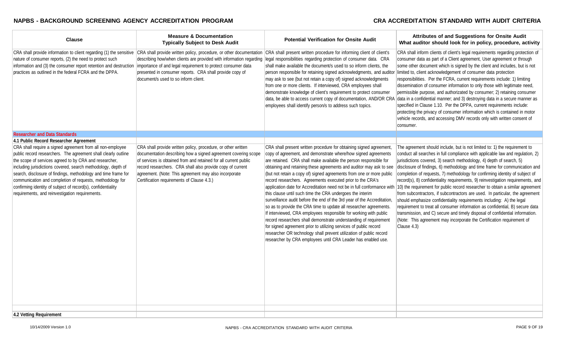| <b>Clause</b>                                                                                                                                                                                                                                                                                                                                                                                                                                                                                             | <b>Measure &amp; Documentation</b><br><b>Typically Subject to Desk Audit</b>                                                                                                                                                                                                                                                                                                                                                                            | <b>Potential Verification for Onsite Audit</b>                                                                                                                                                                                                                                                                                                                                                                                                                                                                                                                                                                                                                                                                                                                                                                                                                                                                                                                                                                                                                          | Attributes of and Suggestions for Onsite Audit<br>What auditor should look for in policy, procedure, activity                                                                                                                                                                                                                                                                                                                                                                                                                                                                                                                                                                                                                                                                                                                                                                                                                                                                                 |
|-----------------------------------------------------------------------------------------------------------------------------------------------------------------------------------------------------------------------------------------------------------------------------------------------------------------------------------------------------------------------------------------------------------------------------------------------------------------------------------------------------------|---------------------------------------------------------------------------------------------------------------------------------------------------------------------------------------------------------------------------------------------------------------------------------------------------------------------------------------------------------------------------------------------------------------------------------------------------------|-------------------------------------------------------------------------------------------------------------------------------------------------------------------------------------------------------------------------------------------------------------------------------------------------------------------------------------------------------------------------------------------------------------------------------------------------------------------------------------------------------------------------------------------------------------------------------------------------------------------------------------------------------------------------------------------------------------------------------------------------------------------------------------------------------------------------------------------------------------------------------------------------------------------------------------------------------------------------------------------------------------------------------------------------------------------------|-----------------------------------------------------------------------------------------------------------------------------------------------------------------------------------------------------------------------------------------------------------------------------------------------------------------------------------------------------------------------------------------------------------------------------------------------------------------------------------------------------------------------------------------------------------------------------------------------------------------------------------------------------------------------------------------------------------------------------------------------------------------------------------------------------------------------------------------------------------------------------------------------------------------------------------------------------------------------------------------------|
| nature of consumer reports, (2) the need to protect such<br>information and (3) the consumer report retention and destruction<br>practices as outlined in the federal FCRA and the DPPA.                                                                                                                                                                                                                                                                                                                  | CRA shall provide information to client regarding (1) the sensitive CRA shall provide written policy, procedure, or other documentation CRA shall present written procedure for informing client of client's<br>describing how/when clients are provided with information regarding<br>importance of and legal requirement to protect consumer data<br>presented in consumer reports. CRA shall provide copy of<br>document/s used to so inform client. | legal responsibilities regarding protection of consumer data. CRA<br>shall make available the document/s used to so inform clients, the<br>person responsible for retaining signed acknowledgments, and auditor<br>may ask to see (but not retain a copy of) signed acknowledgments<br>from one or more clients. If interviewed, CRA employees shall<br>demonstrate knowledge of client's requirement to protect consumer<br>data, be able to access current copy of documentation, AND/OR CRA<br>employees shall identify person/s to address such topics.                                                                                                                                                                                                                                                                                                                                                                                                                                                                                                             | CRA shall inform clients of client's legal requirements regarding protection of<br>consumer data as part of a Client agreement, User agreement or through<br>some other document which is signed by the client and includes, but is not<br>limited to, client acknowledgement of consumer data protection<br>responsibilities. Per the FCRA, current requirements include: 1) limiting<br>dissemination of consumer information to only those with legitimate need,<br>permissible purpose, and authorizated by consumer; 2) retaining consumer<br>data in a confidential manner; and 3) destroying data in a secure manner as<br>specified in Clause 1.10. Per the DPPA, current requirements include:<br>protecting the privacy of consumer information which is contained in motor<br>vehicle records, and accessing DMV records only with written consent of<br>consumer.                                                                                                                 |
| <b>Researcher and Data Standards</b>                                                                                                                                                                                                                                                                                                                                                                                                                                                                      |                                                                                                                                                                                                                                                                                                                                                                                                                                                         |                                                                                                                                                                                                                                                                                                                                                                                                                                                                                                                                                                                                                                                                                                                                                                                                                                                                                                                                                                                                                                                                         |                                                                                                                                                                                                                                                                                                                                                                                                                                                                                                                                                                                                                                                                                                                                                                                                                                                                                                                                                                                               |
| 4.1 Public Record Researcher Agreement                                                                                                                                                                                                                                                                                                                                                                                                                                                                    |                                                                                                                                                                                                                                                                                                                                                                                                                                                         |                                                                                                                                                                                                                                                                                                                                                                                                                                                                                                                                                                                                                                                                                                                                                                                                                                                                                                                                                                                                                                                                         |                                                                                                                                                                                                                                                                                                                                                                                                                                                                                                                                                                                                                                                                                                                                                                                                                                                                                                                                                                                               |
| CRA shall require a signed agreement from all non-employee<br>public record researchers. The agreement shall clearly outline<br>the scope of services agreed to by CRA and researcher,<br>including jurisdictions covered, search methodology, depth of<br>search, disclosure of findings, methodology and time frame for<br>communication and completion of requests, methodology for<br>confirming identity of subject of record(s), confidentiality<br>requirements, and reinvestigation requirements. | CRA shall provide written policy, procedure, or other written<br>documentation describing how a signed agreement covering scope<br>of services is obtained from and retained for all current public<br>record researchers. CRA shall also provide copy of current<br>agreement. (Note: This agreement may also incorporate<br>Certification requirements of Clause 4.3.)                                                                                | CRA shall present written procedure for obtaining signed agreement,<br>copy of agreement, and demonstrate where/how signed agreements<br>are retained. CRA shall make available the person responsible for<br>obtaining and retaining these agreements and auditor may ask to see<br>(but not retain a copy of) signed agreements from one or more public<br>record researchers. Agreements executed prior to the CRA's<br>application date for Accreditation need not be in full conformance with<br>this clause until such time the CRA undergoes the interim<br>surveillance audit before the end of the 3rd year of the Accreditation,<br>so as to provide the CRA time to update all researcher agreements.<br>If interviewed, CRA employees responsible for working with public<br>record researchers shall demonstrate understanding of requirement<br>for signed agreement prior to utilizing services of public record<br>researcher OR technology shall prevent utilization of public record<br>researcher by CRA employees until CRA Leader has enabled use. | The agreement should include, but is not limited to: 1) the requirement to<br>conduct all searches in full compliance with applicable law and regulation, 2)<br>jurisdictions covered, 3) search methodology, 4) depth of search, 5)<br>disclosure of findings, 6) methodology and time frame for communication and<br>completion of requests, 7) methodology for confirming identity of subject of<br>record(s), 8) confidentiality requirements, 9) reinvestigation requirements, and<br>10) the requirement for public record researcher to obtain a similar agreement<br>from subcontractors, if subcontractors are used. In particular, the agreement<br>should emphasize confidentiality requirements including: A) the legal<br>requirement to treat all consumer information as confidential, B) secure data<br>transmission, and C) secure and timely disposal of confidential information.<br>(Note: This agreement may incorporate the Certification requirement of<br>Clause 4.3) |
| 4.2 Vetting Requirement                                                                                                                                                                                                                                                                                                                                                                                                                                                                                   |                                                                                                                                                                                                                                                                                                                                                                                                                                                         |                                                                                                                                                                                                                                                                                                                                                                                                                                                                                                                                                                                                                                                                                                                                                                                                                                                                                                                                                                                                                                                                         |                                                                                                                                                                                                                                                                                                                                                                                                                                                                                                                                                                                                                                                                                                                                                                                                                                                                                                                                                                                               |
|                                                                                                                                                                                                                                                                                                                                                                                                                                                                                                           |                                                                                                                                                                                                                                                                                                                                                                                                                                                         |                                                                                                                                                                                                                                                                                                                                                                                                                                                                                                                                                                                                                                                                                                                                                                                                                                                                                                                                                                                                                                                                         |                                                                                                                                                                                                                                                                                                                                                                                                                                                                                                                                                                                                                                                                                                                                                                                                                                                                                                                                                                                               |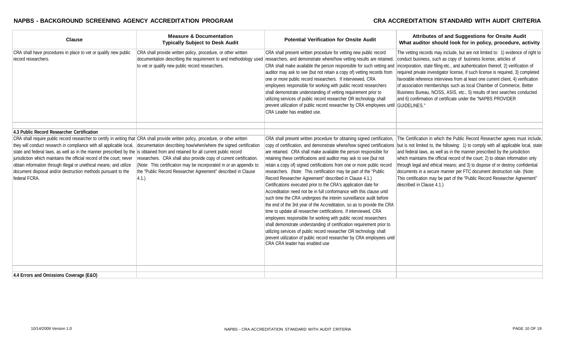| <b>Clause</b>                                                                                                                                                                                                                                                                                                                                                                                                                                                                                                                                                               | <b>Measure &amp; Documentation</b><br><b>Typically Subject to Desk Audit</b>                                                                                                                                                                                                                  | <b>Potential Verification for Onsite Audit</b>                                                                                                                                                                                                                                                                                                                                                                                                                                                                                                                                                                                                                                                                                                                                                                                                                                                                                                                                                                                                                                                                                                                                                       | Attributes of and Suggestions for Onsite Audit<br>What auditor should look for in policy, procedure, activity                                                                                                                                                                                                                                                                                                                                                                                                                                                                                                                        |
|-----------------------------------------------------------------------------------------------------------------------------------------------------------------------------------------------------------------------------------------------------------------------------------------------------------------------------------------------------------------------------------------------------------------------------------------------------------------------------------------------------------------------------------------------------------------------------|-----------------------------------------------------------------------------------------------------------------------------------------------------------------------------------------------------------------------------------------------------------------------------------------------|------------------------------------------------------------------------------------------------------------------------------------------------------------------------------------------------------------------------------------------------------------------------------------------------------------------------------------------------------------------------------------------------------------------------------------------------------------------------------------------------------------------------------------------------------------------------------------------------------------------------------------------------------------------------------------------------------------------------------------------------------------------------------------------------------------------------------------------------------------------------------------------------------------------------------------------------------------------------------------------------------------------------------------------------------------------------------------------------------------------------------------------------------------------------------------------------------|--------------------------------------------------------------------------------------------------------------------------------------------------------------------------------------------------------------------------------------------------------------------------------------------------------------------------------------------------------------------------------------------------------------------------------------------------------------------------------------------------------------------------------------------------------------------------------------------------------------------------------------|
| CRA shall have procedures in place to vet or qualify new public<br>record researchers.                                                                                                                                                                                                                                                                                                                                                                                                                                                                                      | CRA shall provide written policy, procedure, or other written<br>documentation describing the requirement to and methodology used<br>to vet or qualify new public record researchers.                                                                                                         | CRA shall present written procedure for vetting new public record<br>researchers, and demonstrate where/how vetting results are retained.<br>CRA shall make available the person responsible for such vetting and<br>auditor may ask to see (but not retain a copy of) vetting records from<br>one or more public record researchers. If interviewed, CRA<br>employees responsible for working with public record researchers<br>shall demonstrate understanding of vetting requirement prior to<br>utilizing services of public record researcher OR technology shall<br>prevent utilization of public record researcher by CRA employees until GUIDELINES."<br>CRA Leader has enabled use.                                                                                                                                                                                                                                                                                                                                                                                                                                                                                                         | The vetting records may include, but are not limited to: 1) evidence of right to<br>conduct business, such as copy of business license, articles of<br>incorporation, state filing etc., and authentication thereof, 2) verification of<br>required private investigator license, if such license is required, 3) completed<br>favorable reference interviews from at least one current client, 4) verification<br>of association memberships such as local Chamber of Commerce, Better<br>Business Bureau, NCISS, ASIS, etc., 5) results of test searches conducted<br>and 6) confirmation of certificate under the "NAPBS PROVIDER |
| 4.3 Public Record Researcher Certification                                                                                                                                                                                                                                                                                                                                                                                                                                                                                                                                  |                                                                                                                                                                                                                                                                                               |                                                                                                                                                                                                                                                                                                                                                                                                                                                                                                                                                                                                                                                                                                                                                                                                                                                                                                                                                                                                                                                                                                                                                                                                      |                                                                                                                                                                                                                                                                                                                                                                                                                                                                                                                                                                                                                                      |
| CRA shall require public record researcher to certify in writing that CRA shall provide written policy, procedure, or other written<br>they will conduct research in compliance with all applicable local,<br>state and federal laws, as well as in the manner prescribed by the is obtained from and retained for all current public record<br>jurisdiction which maintains the official record of the court; never<br>obtain information through illegal or unethical means; and utilize<br>document disposal and/or destruction methods pursuant to the<br>federal FCRA. | documentation describing how/when/where the signed certification<br>researchers. CRA shall also provide copy of current certification.<br>(Note: This certification may be incorporated in or an appendix to<br>the "Public Record Researcher Agreement" described in Clause<br>$ 4.1\rangle$ | CRA shall present written procedure for obtaining signed certification,<br>copy of certification, and demonstrate where/how signed certifications<br>are retained. CRA shall make available the person responsible for<br>retaining these certifications and auditor may ask to see (but not<br>retain a copy of) signed certifications from one or more public record<br>researchers. (Note: This certification may be part of the "Public"<br>Record Researcher Agreement" described in Clause 4.1.)<br>Certifications executed prior to the CRA's application date for<br>Accreditation need not be in full conformance with this clause until<br>such time the CRA undergoes the interim surveillance audit before<br>the end of the 3rd year of the Accreditation, so as to provide the CRA<br>time to update all researcher certifications. If interviewed, CRA<br>employees responsible for working with public record researchers<br>shall demonstrate understanding of certification requirement prior to<br>utilizing services of public record researcher OR technology shall<br>prevent utilization of public record researcher by CRA employees until<br>CRA CRA leader has enabled use | The Certification in which the Public Record Researcher agrees must include,<br>but is not limited to, the following: 1) to comply with all applicable local, state<br>and federal laws, as well as in the manner prescribed by the jurisdiction<br>which maintains the official record of the court; 2) to obtain information only<br>through legal and ethical means; and 3) to dispose of or destroy confidential<br>documents in a secure manner per FTC document destruction rule. (Note:<br>This certification may be part of the "Public Record Researcher Agreement"<br>described in Clause 4.1.)                            |
| 4.4 Errors and Omissions Coverage (E&O)                                                                                                                                                                                                                                                                                                                                                                                                                                                                                                                                     |                                                                                                                                                                                                                                                                                               |                                                                                                                                                                                                                                                                                                                                                                                                                                                                                                                                                                                                                                                                                                                                                                                                                                                                                                                                                                                                                                                                                                                                                                                                      |                                                                                                                                                                                                                                                                                                                                                                                                                                                                                                                                                                                                                                      |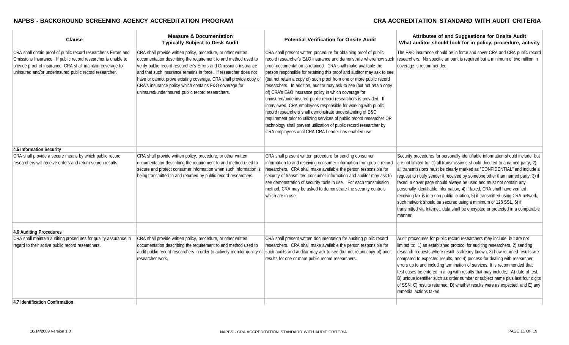| <b>Clause</b>                                                                                                                                                                                                                                              | <b>Measure &amp; Documentation</b><br><b>Typically Subject to Desk Audit</b>                                                                                                                                                                                                                                                                                                                                                                                | <b>Potential Verification for Onsite Audit</b>                                                                                                                                                                                                                                                                                                                                                                                                                                                                                                                                                                                                                                                                                                                                                                                                                                                       | Attributes of and Suggestions for Onsite Audit<br>What auditor should look for in policy, procedure, activity                                                                                                                                                                                                                                                                                                                                                                                                                                                                                                                                                                     |
|------------------------------------------------------------------------------------------------------------------------------------------------------------------------------------------------------------------------------------------------------------|-------------------------------------------------------------------------------------------------------------------------------------------------------------------------------------------------------------------------------------------------------------------------------------------------------------------------------------------------------------------------------------------------------------------------------------------------------------|------------------------------------------------------------------------------------------------------------------------------------------------------------------------------------------------------------------------------------------------------------------------------------------------------------------------------------------------------------------------------------------------------------------------------------------------------------------------------------------------------------------------------------------------------------------------------------------------------------------------------------------------------------------------------------------------------------------------------------------------------------------------------------------------------------------------------------------------------------------------------------------------------|-----------------------------------------------------------------------------------------------------------------------------------------------------------------------------------------------------------------------------------------------------------------------------------------------------------------------------------------------------------------------------------------------------------------------------------------------------------------------------------------------------------------------------------------------------------------------------------------------------------------------------------------------------------------------------------|
| CRA shall obtain proof of public record researcher's Errors and<br>Omissions Insurance. If public record researcher is unable to<br>provide proof of insurance, CRA shall maintain coverage for<br>uninsured and/or underinsured public record researcher. | CRA shall provide written policy, procedure, or other written<br>documentation describing the requirement to and method used to<br>verify public record researcher's Errors and Omissions insurance<br>and that such insurance remains in force. If researcher does not<br>have or cannot prove existing coverage, CRA shall provide copy of<br>CRA's insurance policy which contains E&O coverage for<br>uninsured/underinsured public record researchers. | CRA shall present written procedure for obtaining proof of public<br>record researcher's E&O insurance and demonstrate where/how such<br>proof documentation is retained. CRA shall make available the<br>person responsible for retaining this proof and auditor may ask to see<br>(but not retain a copy of) such proof from one or more public record<br>researchers. In addition, auditor may ask to see (but not retain copy<br>of) CRA's E&O insurance policy in which coverage for<br>uninsured/underinsured public record researchers is provided. If<br>interviewed, CRA employees responsible for working with public<br>record researchers shall demonstrate understanding of E&O<br>requirement prior to utilizing services of public record researcher OR<br>technology shall prevent utilization of public record researcher by<br>CRA employees until CRA CRA Leader has enabled use. | The E&O insurance should be in force and cover CRA and CRA public record<br>researchers. No specific amount is required but a minimum of two million in<br>coverage is recommended.                                                                                                                                                                                                                                                                                                                                                                                                                                                                                               |
| 4.5 Information Security                                                                                                                                                                                                                                   |                                                                                                                                                                                                                                                                                                                                                                                                                                                             |                                                                                                                                                                                                                                                                                                                                                                                                                                                                                                                                                                                                                                                                                                                                                                                                                                                                                                      |                                                                                                                                                                                                                                                                                                                                                                                                                                                                                                                                                                                                                                                                                   |
| CRA shall provide a secure means by which public record                                                                                                                                                                                                    | CRA shall provide written policy, procedure, or other written                                                                                                                                                                                                                                                                                                                                                                                               | CRA shall present written procedure for sending consumer                                                                                                                                                                                                                                                                                                                                                                                                                                                                                                                                                                                                                                                                                                                                                                                                                                             | Security procedures for personally identifiable information should include, but                                                                                                                                                                                                                                                                                                                                                                                                                                                                                                                                                                                                   |
| researchers will receive orders and return search results.                                                                                                                                                                                                 | documentation describing the requirement to and method used to<br>secure and protect consumer information when such information is<br>being transmitted to and returned by public record researchers.                                                                                                                                                                                                                                                       | information to and receiving consumer information from public record<br>researchers. CRA shall make available the person responsible for<br>security of transmitted consumer information and auditor may ask to<br>see demonstration of security tools in use.  For each transmission<br>method, CRA may be asked to demonstrate the security controls<br>which are in use.                                                                                                                                                                                                                                                                                                                                                                                                                                                                                                                          | are not limited to: 1) all transmissions should directed to a named party, 2)<br>all transmissions must be clearly marked as "CONFIDENTIAL" and include a<br>request to notify sender if received by someone other than named party, 3) if<br>faxed, a cover page should always be used and must not contain any<br>personally identifiable information, 4) if faxed, CRA shall have verified<br>receiving fax is in a non-public location, 5) if transmitted using CRA network,<br>such network should be secured using a minimum of 128 SSL, 6) if<br>transmitted via Internet, data shall be encrypted or protected in a comparable<br>manner.                                 |
| 4.6 Auditing Procedures                                                                                                                                                                                                                                    |                                                                                                                                                                                                                                                                                                                                                                                                                                                             |                                                                                                                                                                                                                                                                                                                                                                                                                                                                                                                                                                                                                                                                                                                                                                                                                                                                                                      |                                                                                                                                                                                                                                                                                                                                                                                                                                                                                                                                                                                                                                                                                   |
| CRA shall maintain auditing procedures for quality assurance in<br>regard to their active public record researchers.                                                                                                                                       | CRA shall provide written policy, procedure, or other written<br>documentation describing the requirement to and method used to<br>audit public record researchers in order to actively monitor quality of<br>researcher work.                                                                                                                                                                                                                              | CRA shall present written documentation for auditing public record<br>researchers. CRA shall make available the person responsible for<br>such audits and auditor may ask to see (but not retain copy of) audit<br>results for one or more public record researchers.                                                                                                                                                                                                                                                                                                                                                                                                                                                                                                                                                                                                                                | Audit procedures for public record researchers may include, but are not<br>limited to: 1) an established protocol for auditing researchers, 2) sending<br>research requests where result is already known, 3) how returned results are<br>compared to expected results, and 4) process for dealing with researcher<br>errors up to and including termination of services. It is recommended that<br>test cases be entered in a log with results that may include,: A) date of test,<br>B) unique identifier such as order number or subject name plus last four digits<br>of SSN, C) results returned, D) whether results were as expected, and E) any<br>remedial actions taken. |
| 4.7 Identification Confirmation                                                                                                                                                                                                                            |                                                                                                                                                                                                                                                                                                                                                                                                                                                             |                                                                                                                                                                                                                                                                                                                                                                                                                                                                                                                                                                                                                                                                                                                                                                                                                                                                                                      |                                                                                                                                                                                                                                                                                                                                                                                                                                                                                                                                                                                                                                                                                   |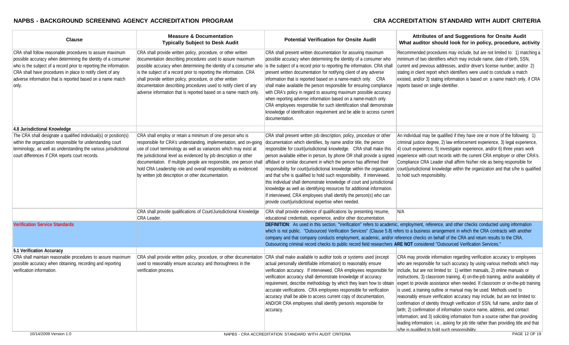| <b>Clause</b>                                                                                                                                                                                                                                                                                                                        | <b>Measure &amp; Documentation</b><br><b>Typically Subject to Desk Audit</b>                                                                                                                                                                                                                                                                                                                                                                                                | <b>Potential Verification for Onsite Audit</b>                                                                                                                                                                                                                                                                                                                                                                                                                                                                                                                                                                                                                                                                                                                                                              | Attributes of and Suggestions for Onsite Audit<br>What auditor should look for in policy, procedure, activity                                                                                                                                                                                                                                                                                                                                                                                                                                                                                                                                                                                                                                                                                                                                                                 |
|--------------------------------------------------------------------------------------------------------------------------------------------------------------------------------------------------------------------------------------------------------------------------------------------------------------------------------------|-----------------------------------------------------------------------------------------------------------------------------------------------------------------------------------------------------------------------------------------------------------------------------------------------------------------------------------------------------------------------------------------------------------------------------------------------------------------------------|-------------------------------------------------------------------------------------------------------------------------------------------------------------------------------------------------------------------------------------------------------------------------------------------------------------------------------------------------------------------------------------------------------------------------------------------------------------------------------------------------------------------------------------------------------------------------------------------------------------------------------------------------------------------------------------------------------------------------------------------------------------------------------------------------------------|-------------------------------------------------------------------------------------------------------------------------------------------------------------------------------------------------------------------------------------------------------------------------------------------------------------------------------------------------------------------------------------------------------------------------------------------------------------------------------------------------------------------------------------------------------------------------------------------------------------------------------------------------------------------------------------------------------------------------------------------------------------------------------------------------------------------------------------------------------------------------------|
| CRA shall follow reasonable procedures to assure maximum<br>possible accuracy when determining the identity of a consumer<br>who is the subject of a record prior to reporting the information.<br>CRA shall have procedures in place to notify client of any<br>adverse information that is reported based on a name match<br>only. | CRA shall provide written policy, procedure, or other written<br>documentation describing procedures used to assure maximum<br>possible accuracy when determining the identity of a consumer who<br>is the subject of a record prior to reporting the information. CRA<br>shall provide written policy, procedure, or other written<br>documentation describing procedures used to notify client of any<br>adverse information that is reported based on a name match only. | CRA shall present written documentation for assuring maximum<br>possible accuracy when determining the identity of a consumer who<br>is the subject of a record prior to reporting the information. CRA shall<br>present written documentation for notifying client of any adverse<br>information that is reported based on a name-match only. CRA<br>shall make available the person responsible for ensuring compliance<br>with CRA's policy in regard to assuring maximum possible accuracy<br>when reporting adverse information based on a name-match only.<br>CRA employees responsible for such identification shall demonstrate<br>knowledge of identification requirement and be able to access current<br>documentation.                                                                          | Recommended procedures may include, but are not limited to: 1) matching a<br>minimum of two identifiers which may include name, date of birth, SSN,<br>current and previous addresses, and/or driver's license number; and/or 2)<br>stating in client report which identifiers were used to conclude a match<br>existed, and/or 3) stating information is based on a name match only, if CRA<br>reports based on single identifier.                                                                                                                                                                                                                                                                                                                                                                                                                                           |
| 4.8 Jurisdictional Knowledge                                                                                                                                                                                                                                                                                                         |                                                                                                                                                                                                                                                                                                                                                                                                                                                                             |                                                                                                                                                                                                                                                                                                                                                                                                                                                                                                                                                                                                                                                                                                                                                                                                             |                                                                                                                                                                                                                                                                                                                                                                                                                                                                                                                                                                                                                                                                                                                                                                                                                                                                               |
| The CRA shall designate a qualified individual(s) or position(s)<br>within the organization responsible for understanding court<br>terminology, as well as understanding the various jurisdictional<br>court differences if CRA reports court records.                                                                               | CRA shall employ or retain a minimum of one person who is<br>responsible for CRA's understanding, implementation, and on-going<br>use of court terminology as well as variances which may exist at<br>the jurisdictional level as evidenced by job description or other<br>documentation. If multiple people are responsible, one person shall<br>hold CRA Leadership role and overall responsibility as evidenced<br>by written job description or other documentation.    | CRA shall present written job description, policy, procedure or other<br>documentation which identifies, by name and/or title, the person<br>responsible for court/jurisdictional knowledge. CRA shall make this<br>person available either in person, by phone OR shall provide a signed<br>affidavit or similar document in which the person has affirmed their<br>responsibility for court/jurisdictional knowledge within the organization<br>and that s/he is qualified to hold such responsibility. If interviewed,<br>this individual shall demonstrate knowledge of court and jurisdictional<br>knowledge as well as identifying resources for additional information.<br>If interviewed, CRA employees shall identify the person(s) who can<br>provide court/jurisdictional expertise when needed. | An individual may be qualified if they have one or more of the following: 1)<br>criminal justice degree, 2) law enforcement experience, 3) legal experience,<br>4) court experience, 5) investigator experience, and/or 6) three years work<br>experience with court records with the current CRA employer or other CRA's.<br>Compliance CRA Leader shall affirm his/her role as being responsible for<br>court/jurisdictional knowledge within the organization and that s/he is qualified<br>to hold such responsibility.                                                                                                                                                                                                                                                                                                                                                   |
|                                                                                                                                                                                                                                                                                                                                      | CRA shall provide qualifications of Court/Jurisdictional Knowledge                                                                                                                                                                                                                                                                                                                                                                                                          | CRA shall provide evidence of qualifications by presenting resume,                                                                                                                                                                                                                                                                                                                                                                                                                                                                                                                                                                                                                                                                                                                                          | IN/A                                                                                                                                                                                                                                                                                                                                                                                                                                                                                                                                                                                                                                                                                                                                                                                                                                                                          |
|                                                                                                                                                                                                                                                                                                                                      | CRA Leader.                                                                                                                                                                                                                                                                                                                                                                                                                                                                 | educational credentials, experience, and/or other documentation.                                                                                                                                                                                                                                                                                                                                                                                                                                                                                                                                                                                                                                                                                                                                            |                                                                                                                                                                                                                                                                                                                                                                                                                                                                                                                                                                                                                                                                                                                                                                                                                                                                               |
| <b>Verification Service Standards</b>                                                                                                                                                                                                                                                                                                |                                                                                                                                                                                                                                                                                                                                                                                                                                                                             | company and that company conducts employment, academic, and/or reference checks on behalf of the CRA and return results to the CRA.<br>Outsourcing criminal record checks to public record field researchers ARE NOT considered "Outsourced Verification Services."                                                                                                                                                                                                                                                                                                                                                                                                                                                                                                                                         | DEFINITION: As used in this section, "Verification" refers to academic, employment, reference, and other checks conducted using information<br>which is not public. "Outsourced Verification Services" (Clause 5.8) refers to a business arrangement in which the CRA contracts with another                                                                                                                                                                                                                                                                                                                                                                                                                                                                                                                                                                                  |
| 5.1 Verification Accuracy                                                                                                                                                                                                                                                                                                            |                                                                                                                                                                                                                                                                                                                                                                                                                                                                             |                                                                                                                                                                                                                                                                                                                                                                                                                                                                                                                                                                                                                                                                                                                                                                                                             |                                                                                                                                                                                                                                                                                                                                                                                                                                                                                                                                                                                                                                                                                                                                                                                                                                                                               |
| CRA shall maintain reasonable procedures to assure maximum                                                                                                                                                                                                                                                                           | CRA shall provide written policy, procedure, or other documentation                                                                                                                                                                                                                                                                                                                                                                                                         | CRA shall make available to auditor tools or systems used (except                                                                                                                                                                                                                                                                                                                                                                                                                                                                                                                                                                                                                                                                                                                                           | CRA may provide information regarding verification accuracy to employees                                                                                                                                                                                                                                                                                                                                                                                                                                                                                                                                                                                                                                                                                                                                                                                                      |
| possible accuracy when obtaining, recording and reporting<br>verification information.                                                                                                                                                                                                                                               | used to reasonably ensure accuracy and thoroughness in the<br>verification process.                                                                                                                                                                                                                                                                                                                                                                                         | actual personally identifiable information) to reasonably ensure<br>verification accuracy. If interviewed, CRA employees responsible for<br>verification accuracy shall demonstrate knowledge of accuracy<br>requirement, describe methodology by which they learn how to obtain<br>accurate verifications. CRA employees responsible for verification<br>accuracy shall be able to access current copy of documentation,<br>AND/OR CRA employees shall identify person/s responsible for<br>accuracy.                                                                                                                                                                                                                                                                                                      | who are responsible for such accuracy by using various methods which may<br>include, but are not limited to: 1) written manuals, 2) online manuals or<br>instructions, 3) classroom training, 4) on-the-job training, and/or availability of<br>expert to provide assistance when needed. If classroom or on-the-job training<br>is used, a training outline or manual may be used. Methods used to<br>reasonably ensure verification accuracy may include, but are not limited to:<br>confirmation of identity through verification of SSN, full name, and/or date of<br>birth; 2) confirmation of information source name, address, and contact<br>information; and 3) soliciting information from a source rather than providing<br>leading information; i.e., asking for job title rather than providing title and that<br>s/he is qualified to hold such responsibility. |
| 10/14/2009 Version 1.0                                                                                                                                                                                                                                                                                                               |                                                                                                                                                                                                                                                                                                                                                                                                                                                                             | NAPBS - CRA ACCREDITATION STANDARD WITH AUDIT CRITERIA                                                                                                                                                                                                                                                                                                                                                                                                                                                                                                                                                                                                                                                                                                                                                      | PAGE 12 OF 19                                                                                                                                                                                                                                                                                                                                                                                                                                                                                                                                                                                                                                                                                                                                                                                                                                                                 |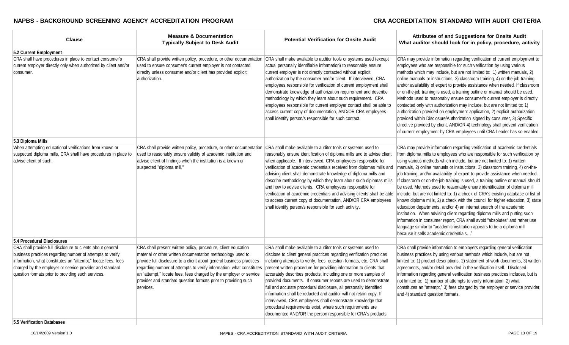| <b>Clause</b>                                                                                                                                                                                                                                                                                              | <b>Measure &amp; Documentation</b><br><b>Typically Subject to Desk Audit</b>                                                                                                                                                                                                                                                                                                                                                      | <b>Potential Verification for Onsite Audit</b>                                                                                                                                                                                                                                                                                                                                                                                                                                                                                                                                                                                                                                                                                                                      | Attributes of and Suggestions for Onsite Audit<br>What auditor should look for in policy, procedure, activity                                                                                                                                                                                                                                                                                                                                                                                                                                                                                                                                                                                                                                                                                                                                                                                                                                                                                                                                                                                            |
|------------------------------------------------------------------------------------------------------------------------------------------------------------------------------------------------------------------------------------------------------------------------------------------------------------|-----------------------------------------------------------------------------------------------------------------------------------------------------------------------------------------------------------------------------------------------------------------------------------------------------------------------------------------------------------------------------------------------------------------------------------|---------------------------------------------------------------------------------------------------------------------------------------------------------------------------------------------------------------------------------------------------------------------------------------------------------------------------------------------------------------------------------------------------------------------------------------------------------------------------------------------------------------------------------------------------------------------------------------------------------------------------------------------------------------------------------------------------------------------------------------------------------------------|----------------------------------------------------------------------------------------------------------------------------------------------------------------------------------------------------------------------------------------------------------------------------------------------------------------------------------------------------------------------------------------------------------------------------------------------------------------------------------------------------------------------------------------------------------------------------------------------------------------------------------------------------------------------------------------------------------------------------------------------------------------------------------------------------------------------------------------------------------------------------------------------------------------------------------------------------------------------------------------------------------------------------------------------------------------------------------------------------------|
| 5.2 Current Employment                                                                                                                                                                                                                                                                                     |                                                                                                                                                                                                                                                                                                                                                                                                                                   |                                                                                                                                                                                                                                                                                                                                                                                                                                                                                                                                                                                                                                                                                                                                                                     |                                                                                                                                                                                                                                                                                                                                                                                                                                                                                                                                                                                                                                                                                                                                                                                                                                                                                                                                                                                                                                                                                                          |
| CRA shall have procedures in place to contact consumer's<br>current employer directly only when authorized by client and/or<br>consumer.                                                                                                                                                                   | CRA shall provide written policy, procedure, or other documentation<br>used to ensure consumer's current employer is not contacted<br>direclty unless consumer and/or client has provided explicit<br>authorization.                                                                                                                                                                                                              | CRA shall make available to auditor tools or systems used (except<br>actual personally identifiable information) to reasonably ensure<br>current employer is not directly contacted without explicit<br>authorization by the consumer and/or client. If interviewed, CRA<br>employees responsible for verification of current employment shall<br>demonstrate knowledge of authorization requirement and describe<br>methodology by which they learn about such requirement. CRA<br>employees responsible for current employer contact shall be able to<br>access current copy of documentation, AND/OR CRA employees<br>shall identify person/s responsible for such contact.                                                                                      | CRA may provide information regarding verification of current employment to<br>employees who are responsible for such verification by using various<br>methods which may include, but are not limited to: 1) written manuals, 2)<br>online manuals or instructions, 3) classroom training, 4) on-the-job training,<br>and/or availability of expert to provide assistance when needed. If classroom<br>or on-the-job training is used, a training outline or manual should be used.<br>Methods used to reasonably ensure consumer's current employer is directly<br>contacted only with authorization may include, but are not limited to: 1)<br>authorization provided on employment application, 2) explicit authorization<br>provided within Disclosure/Authorization signed by consumer, 3) Specific<br>directive provided by client, AND/OR 4) technology shall prevent verification<br>of current employment by CRA employees until CRA Leader has so enabled.                                                                                                                                     |
| 5.3 Diploma Mills                                                                                                                                                                                                                                                                                          |                                                                                                                                                                                                                                                                                                                                                                                                                                   |                                                                                                                                                                                                                                                                                                                                                                                                                                                                                                                                                                                                                                                                                                                                                                     |                                                                                                                                                                                                                                                                                                                                                                                                                                                                                                                                                                                                                                                                                                                                                                                                                                                                                                                                                                                                                                                                                                          |
| When attempting educational verifications from known or<br>suspected diploma mills, CRA shall have procedures in place to<br>advise client of such.                                                                                                                                                        | CRA shall provide written policy, procedure, or other documentation<br>used to reasonably ensure validity of academic institution and<br>advise client of findings when the institution is a known or<br>suspected "diploma mill."                                                                                                                                                                                                | CRA shall make available to auditor tools or systems used to<br>reasonably ensure identification of diploma mills and to advise client<br>when applicable. If interviewed, CRA employees responsible for<br>verification of academic credentials received from diplomas mills and<br>advising client shall demonstrate knowledge of diploma mills and<br>describe methodology by which they learn about such diplomas mills<br>and how to advise clients. CRA employees responsible for<br>verification of academic credentials and advising clients shall be able<br>to access current copy of documentation, AND/OR CRA employees<br>shall identify person/s responsible for such activity.                                                                       | CRA may provide information regarding verification of academic credentials<br>from diploma mills to employees who are responsible for such verification by<br>using various methods which include, but are not limited to: 1) written<br>manuals, 2) online manuals or instructions, 3) classroom training, 4) on-the-<br>job training, and/or availability of expert to provide assistance when needed.<br>If classroom or on-the-job training is used, a training outline or manual should<br>be used. Methods used to reasonably ensure identification of diploma mill<br>include, but are not limited to: 1) a check of CRA's existing database or list of<br>known diploma mills, 2) a check with the council for higher education, 3) state<br>education departments, and/or 4) an internet search of the academic<br>institution. When advising client regarding diploma mills and putting such<br>information in consumer report, CRA shall avoid "absolutes" and rather use<br>language similar to "academic institution appears to be a diploma mill<br>because it sells academic credentials" |
| 5.4 Procedural Disclosures                                                                                                                                                                                                                                                                                 |                                                                                                                                                                                                                                                                                                                                                                                                                                   |                                                                                                                                                                                                                                                                                                                                                                                                                                                                                                                                                                                                                                                                                                                                                                     |                                                                                                                                                                                                                                                                                                                                                                                                                                                                                                                                                                                                                                                                                                                                                                                                                                                                                                                                                                                                                                                                                                          |
| CRA shall provide full disclosure to clients about general<br>business practices regarding number of attempts to verify<br>information, what constitutes an "attempt," locate fees, fees<br>charged by the employer or service provider and standard<br>question formats prior to providing such services. | CRA shall present written policy, procedure, client education<br>material or other written documentation methodology used to<br>provide full disclosure to a client about general business practices<br>regarding number of attempts to verify information, what constitutes<br>an "attempt," locate fees, fees charged by the employer or service<br>provider and standard question formats prior to providing such<br>services. | CRA shall make available to auditor tools or systems used to<br>disclose to client general practices regarding verification practices<br>including attempts to verify, fees, question formats, etc. CRA shall<br>present written procedure for providing information to clients that<br>accurately describes products, including one or more samples of<br>provided documents. If consumer reports are used to demonstrate<br>full and accurate procedural disclosure, all personally identified<br>information shall be redacted and auditor will not retain copy. If<br>interviewed, CRA employees shall demonstrate knowledge that<br>procedural requirements exist, where such requirements are<br>documented AND/OR the person responsible for CRA's products. | CRA shall provide information to employers regarding general verification<br>business practices by using various methods which include, but are not<br>limited to: 1) product descriptions, 2) statement of work documents, 3) written<br>agreements, and/or detail provided in the verification itself. Disclosed<br>information regarding general verification business practices includes, but is<br>not limited to: 1) number of attempts to verify information, 2) what<br>constitutes an "attempt," 3) fees charged by the employer or service provider,<br>and 4) standard question formats.                                                                                                                                                                                                                                                                                                                                                                                                                                                                                                      |
| 5.5 Verification Databases                                                                                                                                                                                                                                                                                 |                                                                                                                                                                                                                                                                                                                                                                                                                                   |                                                                                                                                                                                                                                                                                                                                                                                                                                                                                                                                                                                                                                                                                                                                                                     |                                                                                                                                                                                                                                                                                                                                                                                                                                                                                                                                                                                                                                                                                                                                                                                                                                                                                                                                                                                                                                                                                                          |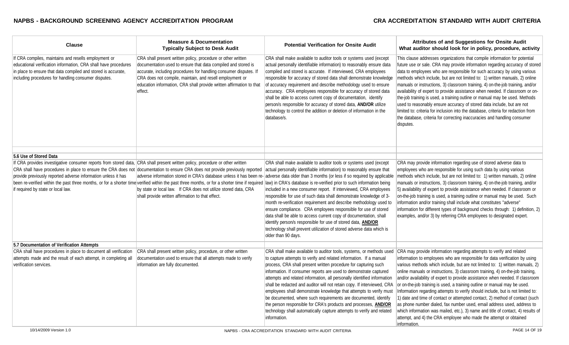| <b>Clause</b>                                                                                                                                                                                                                                    | <b>Measure &amp; Documentation</b><br><b>Typically Subject to Desk Audit</b>                                                                                                                                                                                                                                                                      | <b>Potential Verification for Onsite Audit</b>                                                                                                                                                                                                                                                                                                                                                                                                                                                                                                                                                                                                                                                                                                      | <b>Attributes of and Suggestions for Onsite Audit</b><br>What auditor should look for in policy, procedure, activity                                                                                                                                                                                                                                                                                                                                                                                                                                                                                                                                                                                                                                                                                                                                                                                        |
|--------------------------------------------------------------------------------------------------------------------------------------------------------------------------------------------------------------------------------------------------|---------------------------------------------------------------------------------------------------------------------------------------------------------------------------------------------------------------------------------------------------------------------------------------------------------------------------------------------------|-----------------------------------------------------------------------------------------------------------------------------------------------------------------------------------------------------------------------------------------------------------------------------------------------------------------------------------------------------------------------------------------------------------------------------------------------------------------------------------------------------------------------------------------------------------------------------------------------------------------------------------------------------------------------------------------------------------------------------------------------------|-------------------------------------------------------------------------------------------------------------------------------------------------------------------------------------------------------------------------------------------------------------------------------------------------------------------------------------------------------------------------------------------------------------------------------------------------------------------------------------------------------------------------------------------------------------------------------------------------------------------------------------------------------------------------------------------------------------------------------------------------------------------------------------------------------------------------------------------------------------------------------------------------------------|
| If CRA compiles, maintains and resells employment or<br>educational verification information, CRA shall have procedures<br>in place to ensure that data compiled and stored is accurate,<br>including procedures for handling consumer disputes. | CRA shall present written policy, procedure or other written<br>documentation used to ensure that data compiled and stored is<br>accurate, including procedures for handling consumer disputes. If<br>CRA does not compile, maintain, and resell employment or<br>education information, CRA shall provide written affirmation to that<br>effect. | CRA shall make available to auditor tools or systems used (except<br>actual personally identifiable information) to reasonably ensure data<br>compiled and stored is accurate. If interviewed, CRA employees<br>responsible for accuracy of stored data shall demonstrate knowledge<br>of accuracy requirement and describe methodology used to ensure<br>accuracy. CRA employees responsible for accuracy of stored data<br>shall be able to access current copy of documentation, identify<br>person/s responsible for accuracy of stored data, AND/OR utilize<br>technology to control the addition or deletion of information in the<br>database/s.                                                                                             | This clause addresses organizations that compile information for potential<br>future use or sale. CRA may provide information regarding accuracy of stored<br>data to employees who are responsible for such accuracy by using various<br>methods which include, but are not limited to: 1) written manuals, 2) online<br>manuals or instructions, 3) classroom training, 4) on-the-job training, and/or<br>availability of expert to provide assistance when needed. If classroom or on-<br>the-job training is used, a training outline or manual may be used. Methods<br>used to reasonably ensure accuracy of stored data include, but are not<br>limited to: criteria for inclusion into the database, criteria for redaction from<br>the database, criteria for correcting inaccuracies and handling consumer<br>disputes.                                                                            |
|                                                                                                                                                                                                                                                  |                                                                                                                                                                                                                                                                                                                                                   |                                                                                                                                                                                                                                                                                                                                                                                                                                                                                                                                                                                                                                                                                                                                                     |                                                                                                                                                                                                                                                                                                                                                                                                                                                                                                                                                                                                                                                                                                                                                                                                                                                                                                             |
| 5.6 Use of Stored Data                                                                                                                                                                                                                           |                                                                                                                                                                                                                                                                                                                                                   |                                                                                                                                                                                                                                                                                                                                                                                                                                                                                                                                                                                                                                                                                                                                                     |                                                                                                                                                                                                                                                                                                                                                                                                                                                                                                                                                                                                                                                                                                                                                                                                                                                                                                             |
| If CRA provides investigative consumer reports from stored data, CRA shall present written policy, procedure or other written                                                                                                                    |                                                                                                                                                                                                                                                                                                                                                   | CRA shall make available to auditor tools or systems used (except                                                                                                                                                                                                                                                                                                                                                                                                                                                                                                                                                                                                                                                                                   | CRA may provide information regarding use of stored adverse data to                                                                                                                                                                                                                                                                                                                                                                                                                                                                                                                                                                                                                                                                                                                                                                                                                                         |
|                                                                                                                                                                                                                                                  | CRA shall have procedures in place to ensure the CRA does not documentation to ensure CRA does not provide previously reported                                                                                                                                                                                                                    | actual personally identifiable information) to reasonably ensure that                                                                                                                                                                                                                                                                                                                                                                                                                                                                                                                                                                                                                                                                               | employees who are responsible for using such data by using various                                                                                                                                                                                                                                                                                                                                                                                                                                                                                                                                                                                                                                                                                                                                                                                                                                          |
| provide previously reported adverse information unless it has                                                                                                                                                                                    |                                                                                                                                                                                                                                                                                                                                                   | adverse information stored in CRA's database unless it has been re- adverse data older than 3 months (or less if so required by applicable                                                                                                                                                                                                                                                                                                                                                                                                                                                                                                                                                                                                          | methods which include, but are not limited to: 1) written manuals, 2) online                                                                                                                                                                                                                                                                                                                                                                                                                                                                                                                                                                                                                                                                                                                                                                                                                                |
| if required by state or local law.                                                                                                                                                                                                               | by state or local law. If CRA does not utilize stored data, CRA<br>shall provide written affirmation to that effect.                                                                                                                                                                                                                              | been re-verified within the past three months, or for a shorter time verified within the past three months, or for a shorter time if required  law) in CRA's database is re-verified prior to such information being<br>included in a new consumer report. If interviewed, CRA employees<br>responsible for use of such data shall demonstrate knowledge of 3-<br>month re-verification requirement and describe methodology used to<br>ensure compliance. CRA employees responsible for use of stored<br>data shall be able to access current copy of documentation, shall<br>identify person/s responsible for use of stored data, <b>AND/OR</b><br>technology shall prevent utilization of stored adverse data which is<br>older than 90 days.   | manuals or instructions, 3) classroom training, 4) on-the-job training, and/or<br>5) availability of expert to provide assistance when needed. If classroom or<br>on-the-job training is used, a training outline or manual may be used. Such<br>information and/or training shall include what constitutes "adverse"<br>information for different types of background checks through: 1) definition, 2)<br>examples, and/or 3) by referring CRA employees to designated expert.                                                                                                                                                                                                                                                                                                                                                                                                                            |
| 5.7 Documentation of Verification Attempts                                                                                                                                                                                                       |                                                                                                                                                                                                                                                                                                                                                   |                                                                                                                                                                                                                                                                                                                                                                                                                                                                                                                                                                                                                                                                                                                                                     |                                                                                                                                                                                                                                                                                                                                                                                                                                                                                                                                                                                                                                                                                                                                                                                                                                                                                                             |
| CRA shall have procedures in place to document all verification<br>attempts made and the result of each attempt, in completing all<br>verification services.                                                                                     | CRA shall present written policy, procedure, or other written<br>documentation used to ensure that all attempts made to verify<br>information are fully documented.                                                                                                                                                                               | CRA shall make available to auditor tools, systems, or methods used<br>to capture attempts to verify and related information. If a manual<br>process, CRA shall present written procedure for capturing such<br>information. If consumer reports are used to demonstrate captured<br>attempts and related information, all personally identified information<br>shall be redacted and auditor will not retain copy. If interviewed, CRA<br>employees shall demonstrate knowledge that attempts to verify must<br>be documented, where such requirements are documented, identify<br>the person responsible for CRA's products and processes, <b>AND/OR</b><br>technology shall automatically capture attempts to verify and related<br>information. | CRA may provide information regarding attempts to verify and related<br>information to employees who are responsible for data verification by using<br>various methods which include, but are not limited to: 1) written manuals, 2)<br>online manuals or instructions, 3) classroom training, 4) on-the-job training,<br>and/or availability of expert to provide assistance when needed. If classroom<br>or on-the-job training is used, a training outline or manual may be used.<br>Information regarding attempts to verify should include, but is not limited to:<br>1) date and time of contact or attempted contact, 2) method of contact (such<br>as phone number dialed, fax number used, email address used, address to<br>which information was mailed, etc.), 3) name and title of contact, 4) results of<br>attempt, and 4) the CRA employee who made the attempt or obtained<br>information. |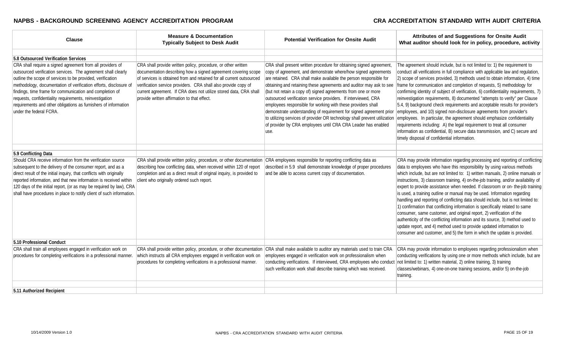| <b>Clause</b>                                                                                                                                                                                                                                                                                                                                                                                                                                                                       | <b>Measure &amp; Documentation</b><br><b>Typically Subject to Desk Audit</b>                                                                                                                                                                                                                                                                                                                  | <b>Potential Verification for Onsite Audit</b>                                                                                                                                                                                                                                                                                                                                                                                                                                                                                                                                                                                                                                                                    | Attributes of and Suggestions for Onsite Audit<br>What auditor should look for in policy, procedure, activity                                                                                                                                                                                                                                                                                                                                                                                                                                                                                                                                                                                                                                                                                                                                                                                                                                                                   |
|-------------------------------------------------------------------------------------------------------------------------------------------------------------------------------------------------------------------------------------------------------------------------------------------------------------------------------------------------------------------------------------------------------------------------------------------------------------------------------------|-----------------------------------------------------------------------------------------------------------------------------------------------------------------------------------------------------------------------------------------------------------------------------------------------------------------------------------------------------------------------------------------------|-------------------------------------------------------------------------------------------------------------------------------------------------------------------------------------------------------------------------------------------------------------------------------------------------------------------------------------------------------------------------------------------------------------------------------------------------------------------------------------------------------------------------------------------------------------------------------------------------------------------------------------------------------------------------------------------------------------------|---------------------------------------------------------------------------------------------------------------------------------------------------------------------------------------------------------------------------------------------------------------------------------------------------------------------------------------------------------------------------------------------------------------------------------------------------------------------------------------------------------------------------------------------------------------------------------------------------------------------------------------------------------------------------------------------------------------------------------------------------------------------------------------------------------------------------------------------------------------------------------------------------------------------------------------------------------------------------------|
|                                                                                                                                                                                                                                                                                                                                                                                                                                                                                     |                                                                                                                                                                                                                                                                                                                                                                                               |                                                                                                                                                                                                                                                                                                                                                                                                                                                                                                                                                                                                                                                                                                                   |                                                                                                                                                                                                                                                                                                                                                                                                                                                                                                                                                                                                                                                                                                                                                                                                                                                                                                                                                                                 |
| 5.8 Outsourced Verification Services                                                                                                                                                                                                                                                                                                                                                                                                                                                |                                                                                                                                                                                                                                                                                                                                                                                               |                                                                                                                                                                                                                                                                                                                                                                                                                                                                                                                                                                                                                                                                                                                   |                                                                                                                                                                                                                                                                                                                                                                                                                                                                                                                                                                                                                                                                                                                                                                                                                                                                                                                                                                                 |
| CRA shall require a signed agreement from all providers of<br>outsourced verification services. The agreement shall clearly<br>outline the scope of services to be provided, verification<br>methodology, documentation of verification efforts, disclosure of<br>findings, time frame for communication and completion of<br>requests, confidentiality requirements, reinvestigation<br>requirements and other obligations as furnishers of information<br>under the federal FCRA. | CRA shall provide written policy, procedure, or other written<br>documentation describing how a signed agreement covering scope<br>of services is obtained from and retained for all current outsourced<br>verification service providers. CRA shall also provide copy of<br>current agreement. If CRA does not utilize stored data, CRA shall<br>provide written affirmation to that effect. | CRA shall present written procedure for obtaining signed agreement,<br>copy of agreement, and demonstrate where/how signed agreements<br>are retained. CRA shall make available the person responsible for<br>obtaining and retaining these agreements and auditor may ask to see<br>(but not retain a copy of) signed agreements from one or more<br>outsourced verification service providers. If interviewed, CRA<br>employees responsible for working with these providers shall<br>demonstrate understanding of requirement for signed agreement prior<br>to utilizing services of provider OR technology shall prevent utilization<br>of provider by CRA employees until CRA CRA Leader has enabled<br>use. | The agreement should include, but is not limited to: 1) the requirement to<br>conduct all verifications in full compliance with applicable law and regulation,<br>2) scope of services provided, 3) methods used to obtain information, 4) time<br>frame for communication and completion of requests, 5) methodology for<br>confirming identity of subject of verification, 6) confidentiality requirements, 7)<br>reinvestigation requirements, 8) documented "attempts to verify" per Clause<br>5.4, 9) background check requirements and acceptable results for provider's<br>employees, and 10) signed non-disclosure agreements from provider's<br>employees. In particular, the agreement should emphasize confidentiality<br>requirements including: A) the legal requirement to treat all consumer<br>information as confidential, B) secure data transmission, and C) secure and<br>timely disposal of confidential information.                                      |
| 5.9 Conflicting Data                                                                                                                                                                                                                                                                                                                                                                                                                                                                |                                                                                                                                                                                                                                                                                                                                                                                               |                                                                                                                                                                                                                                                                                                                                                                                                                                                                                                                                                                                                                                                                                                                   |                                                                                                                                                                                                                                                                                                                                                                                                                                                                                                                                                                                                                                                                                                                                                                                                                                                                                                                                                                                 |
| Should CRA receive information from the verification source<br>subsequent to the delivery of the consumer report, and as a<br>direct result of the initial inquiry, that conflicts with originally<br>reported information, and that new information is received within<br>120 days of the initial report, (or as may be required by law), CRA<br>shall have procedures in place to notify client of such information.                                                              | CRA shall provide written policy, procedure, or other documentation<br>describing how conflicting data, when received within 120 of report<br>completion and as a direct result of original inquiry, is provided to<br>client who originally ordered such report.                                                                                                                             | CRA employees responsible for reporting conflicting data as<br>described in 5.9 shall demonstrate knowledge of proper procedures<br>and be able to access current copy of documentation.                                                                                                                                                                                                                                                                                                                                                                                                                                                                                                                          | CRA may provide information regarding processing and reporting of conflicting<br>data to employees who have this responsibility by using various methods<br>which include, but are not limited to: 1) written manuals, 2) online manuals or<br>instructions, 3) classroom training, 4) on-the-job training, and/or availability of<br>expert to provide assistance when needed. If classroom or on-the-job training<br>is used, a training outline or manual may be used. Information regarding<br>handling and reporting of conflicting data should include, but is not limited to:<br>1) confirmation that conflicting information is specifically related to same<br>consumer, same customer, and original report, 2) verification of the<br>authenticity of the conflicting information and its source, 3) method used to<br>update report, and 4) method used to provide updated information to<br>consumer and customer, and 5) the form in which the update is provided. |
| 5.10 Professional Conduct                                                                                                                                                                                                                                                                                                                                                                                                                                                           |                                                                                                                                                                                                                                                                                                                                                                                               |                                                                                                                                                                                                                                                                                                                                                                                                                                                                                                                                                                                                                                                                                                                   |                                                                                                                                                                                                                                                                                                                                                                                                                                                                                                                                                                                                                                                                                                                                                                                                                                                                                                                                                                                 |
| CRA shall train all employees engaged in verification work on                                                                                                                                                                                                                                                                                                                                                                                                                       | CRA shall provide written policy, procedure, or other documentation                                                                                                                                                                                                                                                                                                                           | CRA shall make available to auditor any materials used to train CRA                                                                                                                                                                                                                                                                                                                                                                                                                                                                                                                                                                                                                                               | CRA may provide information to employees regarding professionalism when                                                                                                                                                                                                                                                                                                                                                                                                                                                                                                                                                                                                                                                                                                                                                                                                                                                                                                         |
| procedures for completing verifications in a professional manner.                                                                                                                                                                                                                                                                                                                                                                                                                   | which instructs all CRA employees engaged in verification work on<br>procedures for completing verifications in a professional manner.                                                                                                                                                                                                                                                        | employees engaged in verification work on professionalism when<br>conducting verifications. If interviewed, CRA employees who conduct<br>such verification work shall describe training which was received.                                                                                                                                                                                                                                                                                                                                                                                                                                                                                                       | conducting verifications by using one or more methods which include, but are<br>not limited to: 1) written material, 2) online training, 3) training<br>classes/webinars, 4) one-on-one training sessions, and/or 5) on-the-job<br>training.                                                                                                                                                                                                                                                                                                                                                                                                                                                                                                                                                                                                                                                                                                                                    |
|                                                                                                                                                                                                                                                                                                                                                                                                                                                                                     |                                                                                                                                                                                                                                                                                                                                                                                               |                                                                                                                                                                                                                                                                                                                                                                                                                                                                                                                                                                                                                                                                                                                   |                                                                                                                                                                                                                                                                                                                                                                                                                                                                                                                                                                                                                                                                                                                                                                                                                                                                                                                                                                                 |
| 5.11 Authorized Recipient                                                                                                                                                                                                                                                                                                                                                                                                                                                           |                                                                                                                                                                                                                                                                                                                                                                                               |                                                                                                                                                                                                                                                                                                                                                                                                                                                                                                                                                                                                                                                                                                                   |                                                                                                                                                                                                                                                                                                                                                                                                                                                                                                                                                                                                                                                                                                                                                                                                                                                                                                                                                                                 |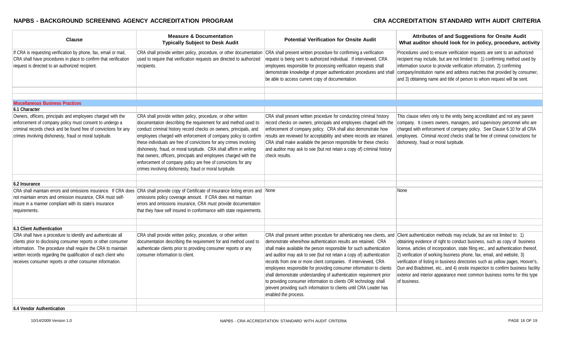| <b>Clause</b>                                                                                                                                                                                                                                                                                                                                            | <b>Measure &amp; Documentation</b><br><b>Typically Subject to Desk Audit</b>                                                                                                                                                                                                                                                                                                                                                                                                                                                                                                                                        | <b>Potential Verification for Onsite Audit</b>                                                                                                                                                                                                                                                                                                                                                                                                                                                                                                                                                                                                                            | Attributes of and Suggestions for Onsite Audit<br>What auditor should look for in policy, procedure, activity                                                                                                                                                                                                                                                                                                                                                                                                                                                                         |
|----------------------------------------------------------------------------------------------------------------------------------------------------------------------------------------------------------------------------------------------------------------------------------------------------------------------------------------------------------|---------------------------------------------------------------------------------------------------------------------------------------------------------------------------------------------------------------------------------------------------------------------------------------------------------------------------------------------------------------------------------------------------------------------------------------------------------------------------------------------------------------------------------------------------------------------------------------------------------------------|---------------------------------------------------------------------------------------------------------------------------------------------------------------------------------------------------------------------------------------------------------------------------------------------------------------------------------------------------------------------------------------------------------------------------------------------------------------------------------------------------------------------------------------------------------------------------------------------------------------------------------------------------------------------------|---------------------------------------------------------------------------------------------------------------------------------------------------------------------------------------------------------------------------------------------------------------------------------------------------------------------------------------------------------------------------------------------------------------------------------------------------------------------------------------------------------------------------------------------------------------------------------------|
| If CRA is requesting verification by phone, fax, email or mail,<br>CRA shall have procedures in place to confirm that verification<br>request is directed to an authorized recipient.                                                                                                                                                                    | CRA shall provide written policy, procedure, or other documentation<br>used to require that verification requests are directed to authorized<br>recipients.                                                                                                                                                                                                                                                                                                                                                                                                                                                         | CRA shall present written procedure for confirming a verification<br>request is being sent to authorized individual. If interviewed, CRA<br>employees responsible for processing verification requests shall<br>demonstrate knowledge of proper authentication procedures and shall<br>be able to access current copy of documentation.                                                                                                                                                                                                                                                                                                                                   | Procedures used to ensure verification requests are sent to an authorized<br>recipient may include, but are not limited to: 1) confirming method used by<br>information source to provide verification information, 2) confirming<br>company/institution name and address matches that provided by consumer,<br>and 3) obtaining name and title of person to whom request will be sent.                                                                                                                                                                                               |
|                                                                                                                                                                                                                                                                                                                                                          |                                                                                                                                                                                                                                                                                                                                                                                                                                                                                                                                                                                                                     |                                                                                                                                                                                                                                                                                                                                                                                                                                                                                                                                                                                                                                                                           |                                                                                                                                                                                                                                                                                                                                                                                                                                                                                                                                                                                       |
| <b>Miscellaneous Business Practices</b>                                                                                                                                                                                                                                                                                                                  |                                                                                                                                                                                                                                                                                                                                                                                                                                                                                                                                                                                                                     |                                                                                                                                                                                                                                                                                                                                                                                                                                                                                                                                                                                                                                                                           |                                                                                                                                                                                                                                                                                                                                                                                                                                                                                                                                                                                       |
| 6.1 Character                                                                                                                                                                                                                                                                                                                                            |                                                                                                                                                                                                                                                                                                                                                                                                                                                                                                                                                                                                                     |                                                                                                                                                                                                                                                                                                                                                                                                                                                                                                                                                                                                                                                                           |                                                                                                                                                                                                                                                                                                                                                                                                                                                                                                                                                                                       |
| Owners, officers, principals and employees charged with the<br>enforcement of company policy must consent to undergo a<br>criminal records check and be found free of convictions for any<br>crimes involving dishonesty, fraud or moral turpitude.                                                                                                      | CRA shall provide written policy, procedure, or other written<br>documentation describing the requirement for and method used to<br>conduct criminal history record checks on owners, principals, and<br>employees charged with enforcement of company policy to confirm<br>these individuals are free of convictions for any crimes involving<br>dishonesty, fraud, or moral turpitude. CRA shall affirm in writing<br>that owners, officers, principals and employees charged with the<br>enforcement of company policy are free of convictions for any<br>crimes involving dishonesty, fraud or moral turpitude. | CRA shall present written procedure for conducting criminal history<br>record checks on owners, principals and employees charged with the<br>enforcement of company policy. CRA shall also demonstrate how<br>results are reviewed for acceptability and where records are retained.<br>CRA shall make available the person responsible for these checks<br>and auditor may ask to see (but not retain a copy of) criminal history<br>check results.                                                                                                                                                                                                                      | This clause refers only to the entity being accreditated and not any parent<br>company. It covers owners, managers, and supervisory personnel who are<br>charged with enforcement of company policy. See Clause 6.10 for all CRA<br>employees. Criminal record checks shall be free of criminal convictions for<br>dishonesty, fraud or moral turpitude.                                                                                                                                                                                                                              |
| 6.2 Insurance                                                                                                                                                                                                                                                                                                                                            |                                                                                                                                                                                                                                                                                                                                                                                                                                                                                                                                                                                                                     |                                                                                                                                                                                                                                                                                                                                                                                                                                                                                                                                                                                                                                                                           |                                                                                                                                                                                                                                                                                                                                                                                                                                                                                                                                                                                       |
| not maintain errors and omission insurance, CRA must self-<br>insure in a manner compliant with its state's insurance<br>requirements.                                                                                                                                                                                                                   | CRA shall maintain errors and omissions insurance. If CRA does CRA shall provide copy of Certificate of Insurance listing errors and None<br>omissions policy coverage amount. If CRA does not maintain<br>errors and omissions insurance, CRA must provide documentation<br>that they have self insured in conformance with state requirements.                                                                                                                                                                                                                                                                    |                                                                                                                                                                                                                                                                                                                                                                                                                                                                                                                                                                                                                                                                           | None                                                                                                                                                                                                                                                                                                                                                                                                                                                                                                                                                                                  |
|                                                                                                                                                                                                                                                                                                                                                          |                                                                                                                                                                                                                                                                                                                                                                                                                                                                                                                                                                                                                     |                                                                                                                                                                                                                                                                                                                                                                                                                                                                                                                                                                                                                                                                           |                                                                                                                                                                                                                                                                                                                                                                                                                                                                                                                                                                                       |
| 6.3 Client Authentication<br>CRA shall have a procedure to identify and authenticate all<br>clients prior to disclosing consumer reports or other consumer<br>information. The procedure shall require the CRA to maintain<br>written records regarding the qualification of each client who<br>receives consumer reports or other consumer information. | CRA shall provide written policy, procedure, or other written<br>documentation describing the requirement for and method used to<br>authenticate clients prior to providing consumer reports or any<br>consumer information to client.                                                                                                                                                                                                                                                                                                                                                                              | CRA shall present written procedure for athenticating new clients, and<br>demonstrate where/how authentication results are retained. CRA<br>shall make available the person responsible for such authentication<br>and auditor may ask to see (but not retain a copy of) authentication<br>records from one or more client companies. If interviewed, CRA<br>employees responsible for providing consumer information to clients<br>shall demonstrate understanding of authentication requirement prior<br>to providing consumer information to clients OR technology shall<br>prevent providing such information to clients until CRA Leader has<br>enabled the process. | Client authentication methods may include, but are not limited to: 1)<br>obtaining evidence of right to conduct business, such as copy of business<br>license, articles of incorporation, state filing etc., and authentication thereof,<br>2) verification of working business phone, fax, email, and website, 3)<br>verification of listing in business directories such as yellow pages, Hoover's,<br>Dun and Bradstreet, etc., and 4) onsite inspection to confirm business facility<br>exterior and interior appearance meet common business norms for this type<br>of business. |
|                                                                                                                                                                                                                                                                                                                                                          |                                                                                                                                                                                                                                                                                                                                                                                                                                                                                                                                                                                                                     |                                                                                                                                                                                                                                                                                                                                                                                                                                                                                                                                                                                                                                                                           |                                                                                                                                                                                                                                                                                                                                                                                                                                                                                                                                                                                       |

**6.4 Vendor Authentication**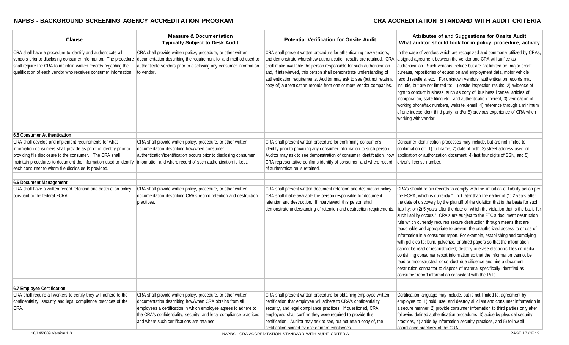| <b>Clause</b>                                                                                                                                                                                                                                                                                                                                                                 | <b>Measure &amp; Documentation</b><br><b>Typically Subject to Desk Audit</b>                                                                                                                                                                                                                                     | <b>Potential Verification for Onsite Audit</b>                                                                                                                                                                                                                                                                                                                                                                                        | Attributes of and Suggestions for Onsite Audit<br>What auditor should look for in policy, procedure, activity                                                                                                                                                                                                                                                                                                                                                                                                                                                                                                                                                                                                                                                                                                                                                                                                                                                                                                                                                                                                               |
|-------------------------------------------------------------------------------------------------------------------------------------------------------------------------------------------------------------------------------------------------------------------------------------------------------------------------------------------------------------------------------|------------------------------------------------------------------------------------------------------------------------------------------------------------------------------------------------------------------------------------------------------------------------------------------------------------------|---------------------------------------------------------------------------------------------------------------------------------------------------------------------------------------------------------------------------------------------------------------------------------------------------------------------------------------------------------------------------------------------------------------------------------------|-----------------------------------------------------------------------------------------------------------------------------------------------------------------------------------------------------------------------------------------------------------------------------------------------------------------------------------------------------------------------------------------------------------------------------------------------------------------------------------------------------------------------------------------------------------------------------------------------------------------------------------------------------------------------------------------------------------------------------------------------------------------------------------------------------------------------------------------------------------------------------------------------------------------------------------------------------------------------------------------------------------------------------------------------------------------------------------------------------------------------------|
| CRA shall have a procedure to identify and authenticate all<br>vendors prior to disclosing consumer information. The procedure<br>shall require the CRA to maintain written records regarding the<br>qualification of each vendor who receives consumer information.                                                                                                          | CRA shall provide written policy, procedure, or other written<br>documentation describing the requirement for and method used to<br>authenticate vendors prior to disclosing any consumer information<br>to vendor.                                                                                              | CRA shall present written procedure for athenticating new vendors,<br>and demonstrate where/how authentication results are retained. CRA<br>shall make available the person responsible for such authentication<br>and, if interviewed, this person shall demonstrate understanding of<br>authentication requirements. Auditor may ask to see (but not retain a<br>copy of) authentication records from one or more vendor companies. | In the case of vendors which are recognized and commonly utilized by CRAs,<br>a signed agreement between the vendor and CRA will suffice as<br>authentication. Such vendors include but are not limited to: major credit<br>bureaus, repositories of education and employment data, motor vehicle<br>record resellers, etc. For unknown vendors, authentication records may<br>include, but are not limited to: 1) onsite inspection results, 2) evidence of<br>right to conduct business, such as copy of business license, articles of<br>incorporation, state filing etc., and authentication thereof, 3) verification of<br>working phone/fax numbers, website, email, 4) reference through a minimum<br>of one independent third-party, and/or 5) previous experience of CRA when<br>working with vendor.                                                                                                                                                                                                                                                                                                              |
| 6.5 Consumer Authentication                                                                                                                                                                                                                                                                                                                                                   |                                                                                                                                                                                                                                                                                                                  |                                                                                                                                                                                                                                                                                                                                                                                                                                       |                                                                                                                                                                                                                                                                                                                                                                                                                                                                                                                                                                                                                                                                                                                                                                                                                                                                                                                                                                                                                                                                                                                             |
| CRA shall develop and implement requirements for what<br>information consumers shall provide as proof of identity prior to<br>providing file disclosure to the consumer. The CRA shall<br>maintain procedures to document the information used to identify information and where record of such authentication is kept.<br>each consumer to whom file disclosure is provided. | CRA shall provide written policy, procedure, or other written<br>documentation describing how/when consumer<br>authentication/identification occurs prior to disclosing consumer                                                                                                                                 | CRA shall present written procedure for confirming consumer's<br>identify prior to providing any consumer information to such person.<br>Auditor may ask to see demonstration of consumer identifcation, how<br>CRA representative confirms identify of consumer, and where record<br>of authenthication is retained.                                                                                                                 | Consumer identification processes may include, but are not limited to<br>confirmation of: 1) full name, 2) date of birth, 3) street address used on<br>application or authorization document, 4) last four digits of SSN, and 5)<br>driver's license number.                                                                                                                                                                                                                                                                                                                                                                                                                                                                                                                                                                                                                                                                                                                                                                                                                                                                |
| 6.6 Document Management                                                                                                                                                                                                                                                                                                                                                       |                                                                                                                                                                                                                                                                                                                  |                                                                                                                                                                                                                                                                                                                                                                                                                                       |                                                                                                                                                                                                                                                                                                                                                                                                                                                                                                                                                                                                                                                                                                                                                                                                                                                                                                                                                                                                                                                                                                                             |
| CRA shall have a written record retention and destruction policy<br>bursuant to the federal FCRA.                                                                                                                                                                                                                                                                             | CRA shall provide written policy, procedure, or other written<br>documentation describing CRA's record retention and destruction<br>practices.                                                                                                                                                                   | CRA shall present written document retention and destruction policy.<br>CRA shall make available the person responsible for document<br>retention and destruction. If interviewed, this person shall<br>demonstrate understanding of retention and destruction requirements.                                                                                                                                                          | CRA's should retain records to comply with the limitation of liability action per<br>the FCRA, which is currently "not later than the earlier of (1) 2 years after<br>the date of discovery by the plaintiff of the violation that is the basis for such<br>liability; or (2) 5 years after the date on which the violation that is the basis for<br>such liability occurs." CRA's are subject to the FTC's document destruction<br>rule which currently requires secure destruction through means that are<br>reasonable and appropriate to prevent the unauthorized access to or use of<br>information in a consumer report. For example, establishing and complying<br>with policies to: burn, pulverize, or shred papers so that the information<br>cannot be read or reconstructed; destroy or erase electronic files or media<br>containing consumer report information so that the information cannot be<br>read or reconstructed; or conduct due diligence and hire a document<br>destruction contractor to dispose of material specifically identified as<br>consumer report information consistent with the Rule. |
| 6.7 Employee Certification                                                                                                                                                                                                                                                                                                                                                    |                                                                                                                                                                                                                                                                                                                  |                                                                                                                                                                                                                                                                                                                                                                                                                                       |                                                                                                                                                                                                                                                                                                                                                                                                                                                                                                                                                                                                                                                                                                                                                                                                                                                                                                                                                                                                                                                                                                                             |
| CRA shall require all workers to certify they will adhere to the<br>confidentiality, security and legal compliance practices of the<br>CRA.                                                                                                                                                                                                                                   | CRA shall provide written policy, procedure, or other written<br>documentation describing how/when CRA obtains from all<br>employees a certification in which employee agrees to adhere to<br>the CRA's confidentiality, security, and legal compliance practices<br>and where such certifications are retained. | CRA shall present written procedure for obtaining employee written<br>certification that employee will adhere to CRA's confidentiality,<br>security, and legal compliance practices. If questioned, CRA<br>employees shall confirm they were required to provide this<br>certification. Auditor may ask to see, but not retain copy of, the<br>certification signed by one or more employees.                                         | Certification language may include, but is not limited to, agreement by<br>employee to: 1) hold, use, and destroy all client and consumer information in<br>a secure manner, 2) provide consumer information to third parties only after<br>following defined authentication procedures, 3) abide by physical security<br>practices, 4) abide by information security practices, and 5) follow all<br>compliance practices of the CRA.                                                                                                                                                                                                                                                                                                                                                                                                                                                                                                                                                                                                                                                                                      |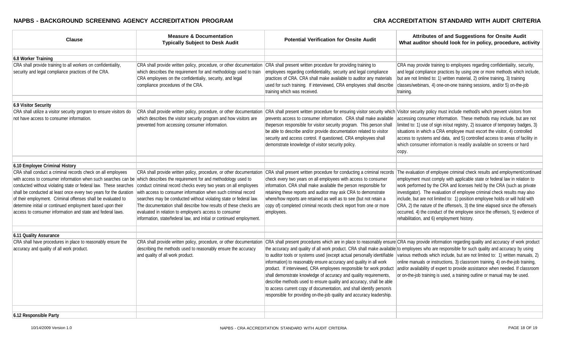| <b>Clause</b>                                                                                                                                                                                                                                                                                                                                                                                                                                                                                                                                                                               | <b>Measure &amp; Documentation</b><br><b>Typically Subject to Desk Audit</b>                                                                                                                                                                                                                                                               | <b>Potential Verification for Onsite Audit</b>                                                                                                                                                                                                                                                                                                                                                                                                                                                                    | Attributes of and Suggestions for Onsite Audit<br>What auditor should look for in policy, procedure, activity                                                                                                                                                                                                                                                                                                                                                                                                                                                                                                                      |
|---------------------------------------------------------------------------------------------------------------------------------------------------------------------------------------------------------------------------------------------------------------------------------------------------------------------------------------------------------------------------------------------------------------------------------------------------------------------------------------------------------------------------------------------------------------------------------------------|--------------------------------------------------------------------------------------------------------------------------------------------------------------------------------------------------------------------------------------------------------------------------------------------------------------------------------------------|-------------------------------------------------------------------------------------------------------------------------------------------------------------------------------------------------------------------------------------------------------------------------------------------------------------------------------------------------------------------------------------------------------------------------------------------------------------------------------------------------------------------|------------------------------------------------------------------------------------------------------------------------------------------------------------------------------------------------------------------------------------------------------------------------------------------------------------------------------------------------------------------------------------------------------------------------------------------------------------------------------------------------------------------------------------------------------------------------------------------------------------------------------------|
| 6.8 Worker Training                                                                                                                                                                                                                                                                                                                                                                                                                                                                                                                                                                         |                                                                                                                                                                                                                                                                                                                                            |                                                                                                                                                                                                                                                                                                                                                                                                                                                                                                                   |                                                                                                                                                                                                                                                                                                                                                                                                                                                                                                                                                                                                                                    |
| CRA shall provide training to all workers on confidentiality,<br>security and legal compliance practices of the CRA.                                                                                                                                                                                                                                                                                                                                                                                                                                                                        | CRA shall provide written policy, procedure, or other documentation<br>which describes the requirement for and methodology used to train<br>CRA employees on the confidentialiy, security, and legal<br>compliance procedures of the CRA.                                                                                                  | CRA shall present written procedure for providing training to<br>employees regarding confidentiality, security and legal compliance<br>practices of CRA. CRA shall make available to auditor any materials<br>used for such training. If interviewed, CRA employees shall describe<br>training which was received.                                                                                                                                                                                                | CRA may provide training to employees regarding confidentiality, security,<br>and legal compliance practices by using one or more methods which include,<br>but are not limited to: 1) written material, 2) online training, 3) training<br>classes/webinars, 4) one-on-one training sessions, and/or 5) on-the-job<br>training.                                                                                                                                                                                                                                                                                                   |
| 6.9 Visitor Security                                                                                                                                                                                                                                                                                                                                                                                                                                                                                                                                                                        |                                                                                                                                                                                                                                                                                                                                            |                                                                                                                                                                                                                                                                                                                                                                                                                                                                                                                   |                                                                                                                                                                                                                                                                                                                                                                                                                                                                                                                                                                                                                                    |
| CRA shall utilize a visitor security program to ensure visitors do<br>not have access to consumer information.                                                                                                                                                                                                                                                                                                                                                                                                                                                                              | CRA shall provide written policy, procedure, or other documentation<br>which describes the visitor security program and how visitors are<br>prevented from accessing consumer information.                                                                                                                                                 | prevents access to consumer information. CRA shall make available<br>theperson responsible for visitor security program. This person shall<br>be able to describe and/or provide documentation related to visitor<br>security and access control. If questioned, CRA employees shall<br>demonstrate knowledge of visitor security policy.                                                                                                                                                                         | CRA shall present written procedure for ensuring visitor security which Visitor security policy must include method/s wihch prevent visitors from<br>accessing consumer information. These methods may include, but are not<br>limited to: 1) use of sign in/out registry, 2) issuance of temporary badges, 3)<br>situations in which a CRA employee must escort the visitor, 4) controlled<br>access to systems and data, and 5) controlled access to areas of facility in<br>which consumer information is readily available on screens or hard<br>copy.                                                                         |
| 6.10 Employee Criminal History                                                                                                                                                                                                                                                                                                                                                                                                                                                                                                                                                              |                                                                                                                                                                                                                                                                                                                                            |                                                                                                                                                                                                                                                                                                                                                                                                                                                                                                                   |                                                                                                                                                                                                                                                                                                                                                                                                                                                                                                                                                                                                                                    |
| CRA shall conduct a criminal records check on all employees<br>with access to consumer information when such searches can be which describes the requirement for and methodology used to<br>conducted without violating state or federal law. These searches<br>shall be conducted at least once every two years for the duration with access to consumer information when such criminal record<br>of their employment. Criminal offenses shall be evaluated to<br>determine initial or continued employment based upon their<br>access to consumer information and state and federal laws. | conduct criminal record checks every two years on all employees<br>searches may be conducted without violating state or federal law.<br>The documentation shall describe how results of these checks are<br>evaluated in relation to employee's access to consumer<br>information, state/federal law, and initial or continued employment. | CRA shall provide written policy, procedure, or other documentation CRA shall present written procedure for conducting a criminal records<br>check every two years on all employees with access to consumer<br>information. CRA shall make available the person responsible for<br>retaining these reports and auditor may ask CRA to demonstrate<br>where/how reports are retained as well as to see (but not retain a<br>copy of) completed criminal records check report from one or more<br>employees.        | The evaluation of employee criminal check results and employment/continued<br>employment must comply with applicable state or federal law in relation to<br>work performed by the CRA and licenses held by the CRA (such as private<br>investigator). The evaluation of employee criminal check results may also<br>include, but are not limited to: 1) position employee holds or will hold with<br>CRA, 2) the nature of the offense/s, 3) the time elapsed since the offense/s<br>occurred, 4) the conduct of the employee since the offense/s, 5) evidence of<br>rehabilitation, and 6) employment history.                    |
| 6.11 Quality Assurance                                                                                                                                                                                                                                                                                                                                                                                                                                                                                                                                                                      |                                                                                                                                                                                                                                                                                                                                            |                                                                                                                                                                                                                                                                                                                                                                                                                                                                                                                   |                                                                                                                                                                                                                                                                                                                                                                                                                                                                                                                                                                                                                                    |
| CRA shall have procedures in place to reasonably ensure the<br>accuracy and quality of all work product.                                                                                                                                                                                                                                                                                                                                                                                                                                                                                    | CRA shall provide written policy, procedure, or other documentation<br>describing the methods used to reasonably ensure the accuracy<br>and quality of all work product.                                                                                                                                                                   | to auditor tools or systems used (except actual personally identifiable<br>information) to reasonably ensure accuracy and quality in all work<br>product. If interviewed, CRA employees responsible for work product<br>shall demonstrate knowledge of accuracy and quality requirements,<br>describe methods used to ensure quality and accuracy, shall be able<br>to access current copy of documentation, and shall identify person/s<br>responsible for providing on-the-job quality and accuracy leadership. | CRA shall present procedures which are in place to reasonably ensure CRA may provide information regarding quality and accuracy of work product<br>the accuracy and quality of all work product. CRA shall make available to employees who are responsible for such quality and accuracy by using<br>various methods which include, but are not limited to: 1) written manuals, 2)<br>online manuals or instructions, 3) classroom training, 4) on-the-job training,<br>and/or availability of expert to provide assistance when needed. If classroom<br>or on-the-job training is used, a training outline or manual may be used. |
| 6.12 Responsible Party                                                                                                                                                                                                                                                                                                                                                                                                                                                                                                                                                                      |                                                                                                                                                                                                                                                                                                                                            |                                                                                                                                                                                                                                                                                                                                                                                                                                                                                                                   |                                                                                                                                                                                                                                                                                                                                                                                                                                                                                                                                                                                                                                    |
|                                                                                                                                                                                                                                                                                                                                                                                                                                                                                                                                                                                             |                                                                                                                                                                                                                                                                                                                                            |                                                                                                                                                                                                                                                                                                                                                                                                                                                                                                                   |                                                                                                                                                                                                                                                                                                                                                                                                                                                                                                                                                                                                                                    |